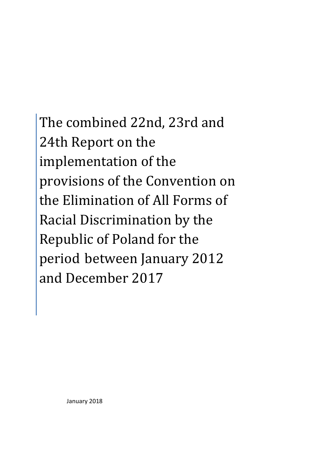The combined 22nd, 23rd and 24th Report on the implementation of the provisions of the Convention on the Elimination of All Forms of Racial Discrimination by the Republic of Poland for the period between January 2012 and December 2017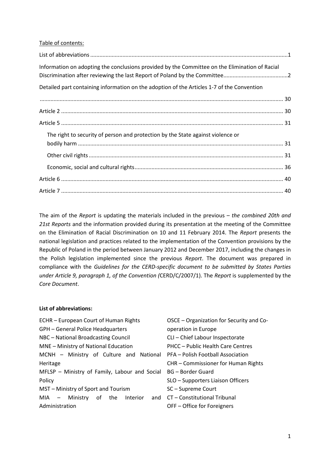#### Table of contents:

| Information on adopting the conclusions provided by the Committee on the Elimination of Racial |  |
|------------------------------------------------------------------------------------------------|--|
| Detailed part containing information on the adoption of the Articles 1-7 of the Convention     |  |
|                                                                                                |  |
|                                                                                                |  |
|                                                                                                |  |
| The right to security of person and protection by the State against violence or                |  |
|                                                                                                |  |
|                                                                                                |  |
|                                                                                                |  |
|                                                                                                |  |

The aim of the *Report* is updating the materials included in the previous – *the combined 20th and 21st Reports* and the information provided during its presentation at the meeting of the Committee on the Elimination of Racial Discrimination on 10 and 11 February 2014. The *Report* presents the national legislation and practices related to the implementation of the Convention provisions by the Republic of Poland in the period between January 2012 and December 2017, including the changes in the Polish legislation implemented since the previous *Report*. The document was prepared in compliance with the *Guidelines for the CERD-specific document to be submitted by States Parties under Article 9, paragraph 1, of the Convention (*CERD/C/2007/1). The *Report* is supplemented by the *Core Document*.

#### **List of abbreviations:**

| ECHR - European Court of Human Rights         | OSCE - Organization for Security and Co- |
|-----------------------------------------------|------------------------------------------|
| <b>GPH - General Police Headquarters</b>      | operation in Europe                      |
| NBC - National Broadcasting Council           | CLI - Chief Labour Inspectorate          |
| MNE - Ministry of National Education          | PHCC - Public Health Care Centres        |
| MCNH - Ministry of Culture and National       | PFA - Polish Football Association        |
| Heritage                                      | CHR - Commissioner for Human Rights      |
| MFLSP - Ministry of Family, Labour and Social | BG – Border Guard                        |
| Policy                                        | SLO - Supporters Liaison Officers        |
| MST – Ministry of Sport and Tourism           | SC-Supreme Court                         |
| $MIA -$ Ministry of the<br>Interior<br>and    | CT – Constitutional Tribunal             |
| Administration                                | OFF – Office for Foreigners              |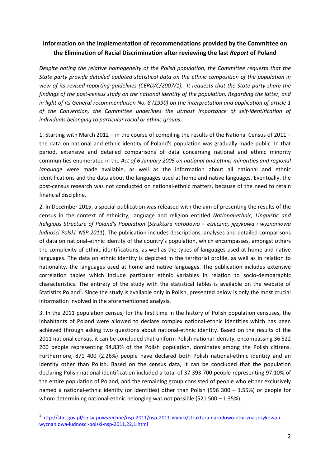# **Information on the implementation of recommendations provided by the Committee on the Elimination of Racial Discrimination after reviewing the last** *Report* **of Poland**

*Despite noting the relative homogeneity of the Polish population, the Committee requests that the State party provide detailed updated statistical data on the ethnic composition of the population in view of its revised reporting guidelines (CERD/C/2007/1). It requests that the State party share the findings of the post-census study on the national identity of the population. Regarding the latter, and in light of its General recommendation No. 8 (1990) on the interpretation and application of article 1 of the Convention, the Committee underlines the utmost importance of self-identification of individuals belonging to particular racial or ethnic groups.* 

1. Starting with March 2012 – in the course of compiling the results of the National Census of 2011 – the data on national and ethnic identity of Poland's population was gradually made public. In that period, extensive and detailed comparisons of data concerning national and ethnic minority communities enumerated in the *Act of 6 January 2005 on national and ethnic minorities and regional language* were made available, as well as the information about all national and ethnic identifications and the data about the languages used at home and native languages. Eventually, the post-census research was not conducted on national-ethnic matters, because of the need to retain financial discipline.

2. In December 2015, a special publication was released with the aim of presenting the results of the census in the context of ethnicity, language and religion entitled *National-ethnic, Linguistic and Religious Structure of Poland's Population* (*Struktura narodowo – etniczna, językowa i wyznaniowa ludności Polski. NSP 2011*). The publication includes descriptions, analyses and detailed comparisons of data on national-ethnic identity of the country's population, which encompasses, amongst others the complexity of ethnic identifications, as well as the types of languages used at home and native languages. The data on ethnic identity is depicted in the territorial profile, as well as in relation to nationality, the languages used at home and native languages. The publication includes extensive correlation tables which include particular ethnic variables in relation to socio-demographic characteristics. The entirety of the study with the statistical tables is available on the website of Statistics Poland<sup>1</sup>. Since the study is available only in Polish, presented below is only the most crucial information involved in the aforementioned analysis.

3. In the 2011 population census, for the first time in the history of Polish population censuses, the inhabitants of Poland were allowed to declare complex national-ethnic identities which has been achieved through asking two questions about national-ethnic identity. Based on the results of the 2011 national census, it can be concluded that uniform Polish national identity, encompassing 36 522 200 people representing 94.83% of the Polish population, dominates among the Polish citizens. Furthermore, 871 400 (2.26%) people have declared both Polish national-ethnic identity and an identity other than Polish. Based on the census data, it can be concluded that the population declaring Polish national identification included a total of 37 393 700 people representing 97.10% of the entire population of Poland, and the remaining group consisted of people who either exclusively named a national-ethnic identity (or identities) other than Polish (596 300 – 1.55%) or people for whom determining national-ethnic belonging was not possible (521 500 – 1.35%).

l

<sup>1</sup> http://stat.gov.pl/spisy-powszechne/nsp-2011/nsp-2011-wyniki/struktura-narodowo-etniczna-jezykowa-iwyznaniowa-ludnosci-polski-nsp-2011,22,1.html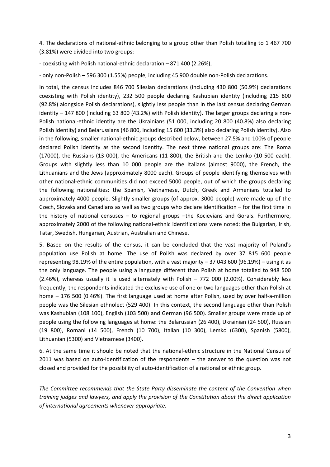4. The declarations of national-ethnic belonging to a group other than Polish totalling to 1 467 700 (3.81%) were divided into two groups:

- coexisting with Polish national-ethnic declaration – 871 400 (2.26%),

- only non-Polish – 596 300 (1.55%) people, including 45 900 double non-Polish declarations.

In total, the census includes 846 700 Silesian declarations (including 430 800 (50.9%) declarations coexisting with Polish identity), 232 500 people declaring Kashubian identity (including 215 800 (92.8%) alongside Polish declarations), slightly less people than in the last census declaring German identity – 147 800 (including 63 800 (43.2%) with Polish identity). The larger groups declaring a non-Polish national-ethnic identity are the Ukrainians (51 000, including 20 800 (40.8%) also declaring Polish identity) and Belarussians (46 800, including 15 600 (33.3%) also declaring Polish identity). Also in the following, smaller national-ethnic groups described below, between 27.5% and 100% of people declared Polish identity as the second identity. The next three national groups are: The Roma (17000), the Russians (13 000), the Americans (11 800), the British and the Lemko (10 500 each). Groups with slightly less than 10 000 people are the Italians (almost 9000), the French, the Lithuanians and the Jews (approximately 8000 each). Groups of people identifying themselves with other national-ethnic communities did not exceed 5000 people, out of which the groups declaring the following nationalities: the Spanish, Vietnamese, Dutch, Greek and Armenians totalled to approximately 4000 people. Slightly smaller groups (of approx. 3000 people) were made up of the Czech, Slovaks and Canadians as well as two groups who declare identification – for the first time in the history of national censuses – to regional groups –the Kocievians and Gorals. Furthermore, approximately 2000 of the following national-ethnic identifications were noted: the Bulgarian, Irish, Tatar, Swedish, Hungarian, Austrian, Australian and Chinese.

5. Based on the results of the census, it can be concluded that the vast majority of Poland's population use Polish at home. The use of Polish was declared by over 37 815 600 people representing 98.19% of the entire population, with a vast majority – 37 043 600 (96.19%) – using it as the only language. The people using a language different than Polish at home totalled to 948 500 (2.46%), whereas usually it is used alternately with Polish – 772 000 (2.00%). Considerably less frequently, the respondents indicated the exclusive use of one or two languages other than Polish at home – 176 500 (0.46%). The first language used at home after Polish, used by over half-a-million people was the Silesian ethnolect (529 400). In this context, the second language other than Polish was Kashubian (108 100), English (103 500) and German (96 500). Smaller groups were made up of people using the following languages at home: the Belarussian (26 400), Ukrainian (24 500), Russian (19 800), Romani (14 500), French (10 700), Italian (10 300), Lemko (6300), Spanish (5800), Lithuanian (5300) and Vietnamese (3400).

6. At the same time it should be noted that the national-ethnic structure in the National Census of 2011 was based on auto-identification of the respondents – the answer to the question was not closed and provided for the possibility of auto-identification of a national or ethnic group.

*The Committee recommends that the State Party disseminate the content of the Convention when training judges and lawyers, and apply the provision of the Constitution about the direct application of international agreements whenever appropriate.*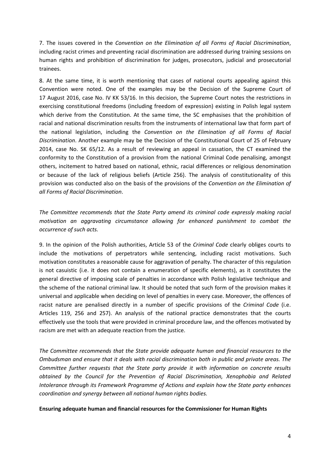7. The issues covered in the *Convention on the Elimination of all Forms of Racial Discrimination*, including racist crimes and preventing racial discrimination are addressed during training sessions on human rights and prohibition of discrimination for judges, prosecutors, judicial and prosecutorial trainees.

8. At the same time, it is worth mentioning that cases of national courts appealing against this Convention were noted. One of the examples may be the Decision of the Supreme Court of 17 August 2016, case No. IV KK 53/16. In this decision, the Supreme Court notes the restrictions in exercising constitutional freedoms (including freedom of expression) existing in Polish legal system which derive from the Constitution. At the same time, the SC emphasises that the prohibition of racial and national discrimination results from the instruments of international law that form part of the national legislation, including the *Convention on the Elimination of all Forms of Racial Discrimination*. Another example may be the Decision of the Constitutional Court of 25 of February 2014, case No. SK 65/12. As a result of reviewing an appeal in cassation, the CT examined the conformity to the Constitution of a provision from the national Criminal Code penalising, amongst others, incitement to hatred based on national, ethnic, racial differences or religious denomination or because of the lack of religious beliefs (Article 256). The analysis of constitutionality of this provision was conducted also on the basis of the provisions of the *Convention on the Elimination of all Forms of Racial Discrimination*.

*The Committee recommends that the State Party amend its criminal code expressly making racial motivation an aggravating circumstance allowing for enhanced punishment to combat the occurrence of such acts.* 

9. In the opinion of the Polish authorities, Article 53 of the *Criminal Code* clearly obliges courts to include the motivations of perpetrators while sentencing, including racist motivations. Such motivation constitutes a reasonable cause for aggravation of penalty. The character of this regulation is not casuistic (i.e. it does not contain a enumeration of specific elements), as it constitutes the general directive of imposing scale of penalties in accordance with Polish legislative technique and the scheme of the national criminal law. It should be noted that such form of the provision makes it universal and applicable when deciding on level of penalties in every case. Moreover, the offences of racist nature are penalised directly in a number of specific provisions of the *Criminal Code* (i.e. Articles 119, 256 and 257). An analysis of the national practice demonstrates that the courts effectively use the tools that were provided in criminal procedure law, and the offences motivated by racism are met with an adequate reaction from the justice.

*The Committee recommends that the State provide adequate human and financial resources to the Ombudsman and ensure that it deals with racial discrimination both in public and private areas. The Committee further requests that the State party provide it with information on concrete results obtained by the Council for the Prevention of Racial Discrimination, Xenophobia and Related Intolerance through its Framework Programme of Actions and explain how the State party enhances coordination and synergy between all national human rights bodies.* 

**Ensuring adequate human and financial resources for the Commissioner for Human Rights**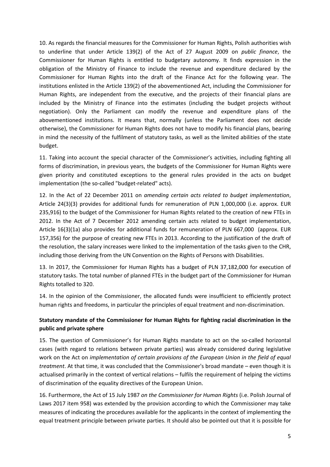10. As regards the financial measures for the Commissioner for Human Rights, Polish authorities wish to underline that under Article 139(2) of the Act of 27 August 2009 on *public finance*, the Commissioner for Human Rights is entitled to budgetary autonomy. It finds expression in the obligation of the Ministry of Finance to include the revenue and expenditure declared by the Commissioner for Human Rights into the draft of the Finance Act for the following year. The institutions enlisted in the Article 139(2) of the abovementioned Act, including the Commissioner for Human Rights, are independent from the executive, and the projects of their financial plans are included by the Ministry of Finance into the estimates (including the budget projects without negotiation). Only the Parliament can modify the revenue and expenditure plans of the abovementioned institutions. It means that, normally (unless the Parliament does not decide otherwise), the Commissioner for Human Rights does not have to modify his financial plans, bearing in mind the necessity of the fulfilment of statutory tasks, as well as the limited abilities of the state budget.

11. Taking into account the special character of the Commissioner's activities, including fighting all forms of discrimination, in previous years, the budgets of the Commissioner for Human Rights were given priority and constituted exceptions to the general rules provided in the acts on budget implementation (the so-called "budget-related" acts).

12. In the Act of 22 December 2011 on *amending certain acts related to budget implementation*, Article 24(3)(3) provides for additional funds for remuneration of PLN 1,000,000 (i.e. approx. EUR 235,916) to the budget of the Commissioner for Human Rights related to the creation of new FTEs in 2012. In the Act of 7 December 2012 amending certain acts related to budget implementation, Article 16(3)(1a) also provides for additional funds for remuneration of PLN 667,000 (approx. EUR 157,356) for the purpose of creating new FTEs in 2013. According to the justification of the draft of the resolution, the salary increases were linked to the implementation of the tasks given to the CHR, including those deriving from the UN Convention on the Rights of Persons with Disabilities.

13. In 2017, the Commissioner for Human Rights has a budget of PLN 37,182,000 for execution of statutory tasks. The total number of planned FTEs in the budget part of the Commissioner for Human Rights totalled to 320.

14. In the opinion of the Commissioner, the allocated funds were insufficient to efficiently protect human rights and freedoms, in particular the principles of equal treatment and non-discrimination.

## **Statutory mandate of the Commissioner for Human Rights for fighting racial discrimination in the public and private sphere**

15. The question of Commissioner's for Human Rights mandate to act on the so-called horizontal cases (with regard to relations between private parties) was already considered during legislative work on the Act on *implementation of certain provisions of the European Union in the field of equal treatment*. At that time, it was concluded that the Commissioner's broad mandate – even though it is actualised primarily in the context of vertical relations – fulfils the requirement of helping the victims of discrimination of the equality directives of the European Union.

16. Furthermore, the Act of 15 July 1987 *on the Commissioner for Human Rights* (i.e. Polish Journal of Laws 2017 item 958) was extended by the provision according to which the Commissioner may take measures of indicating the procedures available for the applicants in the context of implementing the equal treatment principle between private parties. It should also be pointed out that it is possible for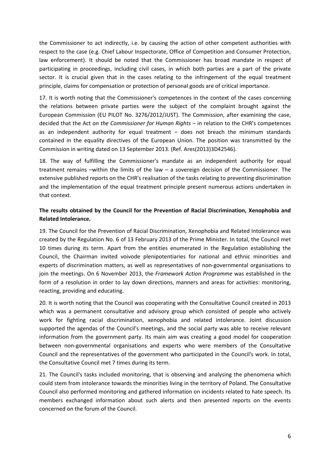the Commissioner to act indirectly, i.e. by causing the action of other competent authorities with respect to the case (e.g. Chief Labour Inspectorate, Office of Competition and Consumer Protection, law enforcement). It should be noted that the Commissioner has broad mandate in respect of participating in proceedings, including civil cases, in which both parties are a part of the private sector. It is crucial given that in the cases relating to the infringement of the equal treatment principle, claims for compensation or protection of personal goods are of critical importance.

17. It is worth noting that the Commissioner's competences in the context of the cases concerning the relations between private parties were the subject of the complaint brought against the European Commission (EU PILOT No. 3276/2012/JUST). The Commission, after examining the case, decided that the Act *on the Commissioner for Human Rights* – in relation to the CHR's competences as an independent authority for equal treatment – does not breach the minimum standards contained in the equality directives of the European Union. The position was transmitted by the Commission in writing dated on 13 September 2013. (Ref. Ares(2013)3D42546).

18. The way of fulfilling the Commissioner's mandate as an independent authority for equal treatment remains –within the limits of the law – a sovereign decision of the Commissioner. The extensive published reports on the CHR's realisation of the tasks relating to preventing discrimination and the implementation of the equal treatment principle present numerous actions undertaken in that context.

## **The results obtained by the Council for the Prevention of Racial Discrimination, Xenophobia and Related Intolerance.**

19. The Council for the Prevention of Racial Discrimination, Xenophobia and Related Intolerance was created by the Regulation No. 6 of 13 February 2013 of the Prime Minister. In total, the Council met 10 times during its term. Apart from the entities enumerated in the Regulation establishing the Council, the Chairman invited voivode plenipotentiaries for national and ethnic minorities and experts of discrimination matters, as well as representatives of non-governmental organisations to join the meetings. On 6 November 2013, the *Framework Action Programme* was established in the form of a resolution in order to lay down directions, manners and areas for activities: monitoring, reacting, providing and educating.

20. It is worth noting that the Council was cooperating with the Consultative Council created in 2013 which was a permanent consultative and advisory group which consisted of people who actively work for fighting racial discrimination, xenophobia and related intolerance. Joint discussion supported the agendas of the Council's meetings, and the social party was able to receive relevant information from the government party. Its main aim was creating a good model for cooperation between non-governmental organisations and experts who were members of the Consultative Council and the representatives of the government who participated in the Council's work. In total, the Consultative Council met 7 times during its term.

21. The Council's tasks included monitoring, that is observing and analysing the phenomena which could stem from intolerance towards the minorities living in the territory of Poland. The Consultative Council also performed monitoring and gathered information on incidents related to hate speech. Its members exchanged information about such alerts and then presented reports on the events concerned on the forum of the Council.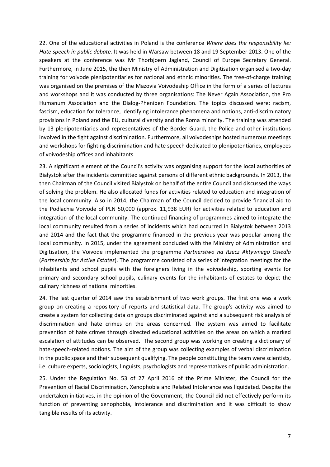22. One of the educational activities in Poland is the conference *Where does the responsibility lie: Hate speech in public debate.* It was held in Warsaw between 18 and 19 September 2013. One of the speakers at the conference was Mr Thorbjoern Jagland, Council of Europe Secretary General. Furthermore, in June 2015, the then Ministry of Administration and Digitisation organised a two-day training for voivode plenipotentiaries for national and ethnic minorities. The free-of-charge training was organised on the premises of the Mazovia Voivodeship Office in the form of a series of lectures and workshops and it was conducted by three organisations: The Never Again Association, the Pro Humanum Association and the Dialog-Pheniben Foundation. The topics discussed were: racism, fascism, education for tolerance, identifying intolerance phenomena and notions, anti-discriminatory provisions in Poland and the EU, cultural diversity and the Roma minority. The training was attended by 13 plenipotentiaries and representatives of the Border Guard, the Police and other institutions involved in the fight against discrimination. Furthermore, all voivodeships hosted numerous meetings and workshops for fighting discrimination and hate speech dedicated to plenipotentiaries, employees of voivodeship offices and inhabitants.

23. A significant element of the Council's activity was organising support for the local authorities of Białystok after the incidents committed against persons of different ethnic backgrounds. In 2013, the then Chairman of the Council visited Białystok on behalf of the entire Council and discussed the ways of solving the problem. He also allocated funds for activities related to education and integration of the local community. Also in 2014, the Chairman of the Council decided to provide financial aid to the Podlachia Voivode of PLN 50,000 (approx. 11,938 EUR) for activities related to education and integration of the local community. The continued financing of programmes aimed to integrate the local community resulted from a series of incidents which had occurred in Białystok between 2013 and 2014 and the fact that the programme financed in the previous year was popular among the local community. In 2015, under the agreement concluded with the Ministry of Administration and Digitisation, the Voivode implemented the programme *Partnerstwo na Rzecz Aktywnego Osiedla*  (*Partnership for Active Estates*). The programme consisted of a series of integration meetings for the inhabitants and school pupils with the foreigners living in the voivodeship, sporting events for primary and secondary school pupils, culinary events for the inhabitants of estates to depict the culinary richness of national minorities.

24. The last quarter of 2014 saw the establishment of two work groups. The first one was a work group on creating a repository of reports and statistical data. The group's activity was aimed to create a system for collecting data on groups discriminated against and a subsequent risk analysis of discrimination and hate crimes on the areas concerned. The system was aimed to facilitate prevention of hate crimes through directed educational activities on the areas on which a marked escalation of attitudes can be observed. The second group was working on creating a dictionary of hate-speech-related notions. The aim of the group was collecting examples of verbal discrimination in the public space and their subsequent qualifying. The people constituting the team were scientists, i.e. culture experts, sociologists, linguists, psychologists and representatives of public administration.

25. Under the Regulation No. 53 of 27 April 2016 of the Prime Minister, the Council for the Prevention of Racial Discrimination, Xenophobia and Related Intolerance was liquidated. Despite the undertaken initiatives, in the opinion of the Government, the Council did not effectively perform its function of preventing xenophobia, intolerance and discrimination and it was difficult to show tangible results of its activity.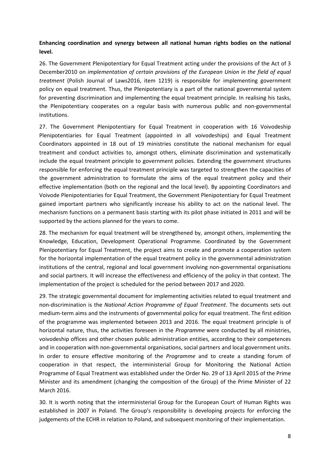## **Enhancing coordination and synergy between all national human rights bodies on the national level.**

26. The Government Plenipotentiary for Equal Treatment acting under the provisions of the Act of 3 December2010 on *implementation of certain provisions of the European Union in the field of equal treatment* (Polish Journal of Laws2016, item 1219) is responsible for implementing government policy on equal treatment. Thus, the Plenipotentiary is a part of the national governmental system for preventing discrimination and implementing the equal treatment principle. In realising his tasks, the Plenipotentiary cooperates on a regular basis with numerous public and non-governmental institutions.

27. The Government Plenipotentiary for Equal Treatment in cooperation with 16 Voivodeship Plenipotentiaries for Equal Treatment (appointed in all voivodeships) and Equal Treatment Coordinators appointed in 18 out of 19 ministries constitute the national mechanism for equal treatment and conduct activities to, amongst others, eliminate discrimination and systematically include the equal treatment principle to government policies. Extending the government structures responsible for enforcing the equal treatment principle was targeted to strengthen the capacities of the government administration to formulate the aims of the equal treatment policy and their effective implementation (both on the regional and the local level). By appointing Coordinators and Voivode Plenipotentiaries for Equal Treatment, the Government Plenipotentiary for Equal Treatment gained important partners who significantly increase his ability to act on the national level. The mechanism functions on a permanent basis starting with its pilot phase initiated in 2011 and will be supported by the actions planned for the years to come.

28. The mechanism for equal treatment will be strengthened by, amongst others, implementing the Knowledge, Education, Development Operational Programme. Coordinated by the Government Plenipotentiary for Equal Treatment, the project aims to create and promote a cooperation system for the horizontal implementation of the equal treatment policy in the governmental administration institutions of the central, regional and local government involving non-governmental organisations and social partners. It will increase the effectiveness and efficiency of the policy in that context. The implementation of the project is scheduled for the period between 2017 and 2020.

29. The strategic governmental document for implementing activities related to equal treatment and non-discrimination is the *National Action Programme of Equal Treatment*. The documents sets out medium-term aims and the instruments of governmental policy for equal treatment. The first edition of the programme was implemented between 2013 and 2016. The equal treatment principle is of horizontal nature, thus, the activities foreseen in the *Programme* were conducted by all ministries, voivodeship offices and other chosen public administration entities, according to their competences and in cooperation with non-governmental organisations, social partners and local government units. In order to ensure effective monitoring of the *Programme* and to create a standing forum of cooperation in that respect, the interministerial Group for Monitoring the National Action Programme of Equal Treatment was established under the Order No. 29 of 13 April 2015 of the Prime Minister and its amendment (changing the composition of the Group) of the Prime Minister of 22 March 2016.

30. It is worth noting that the interministerial Group for the European Court of Human Rights was established in 2007 in Poland. The Group's responsibility is developing projects for enforcing the judgements of the ECHR in relation to Poland, and subsequent monitoring of their implementation.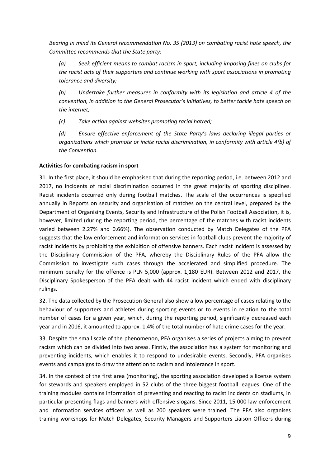*Bearing in mind its General recommendation No. 35 (2013) on combating racist hate speech, the Committee recommends that the State party:* 

*(a) Seek efficient means to combat racism in sport, including imposing fines on clubs for the racist acts of their supporters and continue working with sport associations in promoting tolerance and diversity;* 

*(b) Undertake further measures in conformity with its legislation and article 4 of the convention, in addition to the General Prosecutor's initiatives, to better tackle hate speech on the internet;* 

*(c) Take action against websites promoting racial hatred;* 

*(d) Ensure effective enforcement of the State Party's laws declaring illegal parties or organizations which promote or incite racial discrimination, in conformity with article 4(b) of the Convention.* 

## **Activities for combating racism in sport**

31. In the first place, it should be emphasised that during the reporting period, i.e. between 2012 and 2017, no incidents of racial discrimination occurred in the great majority of sporting disciplines. Racist incidents occurred only during football matches. The scale of the occurrences is specified annually in Reports on security and organisation of matches on the central level, prepared by the Department of Organising Events, Security and Infrastructure of the Polish Football Association, it is, however, limited (during the reporting period, the percentage of the matches with racist incidents varied between 2.27% and 0.66%). The observation conducted by Match Delegates of the PFA suggests that the law enforcement and information services in football clubs prevent the majority of racist incidents by prohibiting the exhibition of offensive banners. Each racist incident is assessed by the Disciplinary Commission of the PFA, whereby the Disciplinary Rules of the PFA allow the Commission to investigate such cases through the accelerated and simplified procedure. The minimum penalty for the offence is PLN 5,000 (approx. 1,180 EUR). Between 2012 and 2017, the Disciplinary Spokesperson of the PFA dealt with 44 racist incident which ended with disciplinary rulings.

32. The data collected by the Prosecution General also show a low percentage of cases relating to the behaviour of supporters and athletes during sporting events or to events in relation to the total number of cases for a given year, which, during the reporting period, significantly decreased each year and in 2016, it amounted to approx. 1.4% of the total number of hate crime cases for the year.

33. Despite the small scale of the phenomenon, PFA organises a series of projects aiming to prevent racism which can be divided into two areas. Firstly, the association has a system for monitoring and preventing incidents, which enables it to respond to undesirable events. Secondly, PFA organises events and campaigns to draw the attention to racism and intolerance in sport.

34. In the context of the first area (monitoring), the sporting association developed a license system for stewards and speakers employed in 52 clubs of the three biggest football leagues. One of the training modules contains information of preventing and reacting to racist incidents on stadiums, in particular presenting flags and banners with offensive slogans. Since 2011, 15 000 law enforcement and information services officers as well as 200 speakers were trained. The PFA also organises training workshops for Match Delegates, Security Managers and Supporters Liaison Officers during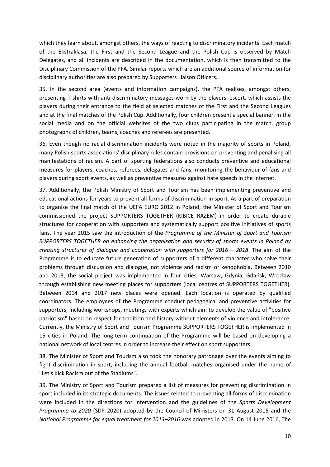which they learn about, amongst others, the ways of reacting to discriminatory incidents. Each match of the Ekstraklasa, the First and the Second League and the Polish Cup is observed by Match Delegates, and all incidents are described in the documentation, which is then transmitted to the Disciplinary Commission of the PFA. Similar reports which are an additional source of information for disciplinary authorities are also prepared by Supporters Liaison Officers.

35. In the second area (events and information campaigns), the PFA realises, amongst others, presenting T-shirts with anti-discriminatory messages worn by the players' escort, which assists the players during their entrance to the field at selected matches of the First and the Second Leagues and at the final matches of the Polish Cup. Additionally, four children present a special banner. In the social media and on the official websites of the two clubs participating in the match, group photographs of children, teams, coaches and referees are presented.

36. Even though no racial discrimination incidents were noted in the majority of sports in Poland, many Polish sports associations' disciplinary rules contain provisions on preventing and penalising all manifestations of racism. A part of sporting federations also conducts preventive and educational measures for players, coaches, referees, delegates and fans, monitoring the behaviour of fans and players during sport events, as well as preventive measures against hate speech in the Internet.

37. Additionally, the Polish Ministry of Sport and Tourism has been implementing preventive and educational actions for years to prevent all forms of discrimination in sport. As a part of preparation to organise the final match of the UEFA EURO 2012 in Poland, the Minister of Sport and Tourism commissioned the project SUPPORTERS TOGETHER (KIBICE RAZEM) in order to create durable structures for cooperation with supporters and systematically support positive initiatives of sports fans. The year 2015 saw the introduction of the *Programme of the Minister of Sport and Tourism SUPPORTERS TOGETHER on enhancing the organisation and security of sports events in Poland by creating structures of dialogue and cooperation with supporters for 2016 – 2018*. The aim of the Programme is to educate future generation of supporters of a different character who solve their problems through discussion and dialogue, not violence and racism or xenophobia. Between 2010 and 2013, the social project was implemented in four cities: Warsaw, Gdynia, Gdańsk, Wrocław through establishing new meeting places for supporters (local centres of SUPPORTERS TOGETHER). Between 2014 and 2017 new places were opened. Each location is operated by qualified coordinators. The employees of the Programme conduct pedagogical and preventive activities for supporters, including workshops, meetings with experts which aim to develop the value of "positive patriotism" based on respect for tradition and history without elements of violence and intolerance. Currently, the Ministry of Sport and Tourism Programme SUPPORTERS TOGETHER is implemented in 15 cities in Poland. The long-term continuation of the Programme will be based on developing a national network of local centres in order to increase their effect on sport supporters.

38. The Minister of Sport and Tourism also took the honorary patronage over the events aiming to fight discrimination in sport, including the annual football matches organised under the name of "Let's Kick Racism out of the Stadiums".

39. The Ministry of Sport and Tourism prepared a list of measures for preventing discrimination in sport included in its strategic documents. The issues related to preventing all forms of discrimination were included in the directions for intervention and the guidelines of the *Sports Development Programme to 2020* (SDP 2020) adopted by the Council of Ministers on 31 August 2015 and the *National Programme for equal treatment for 2013–2016* was adopted in 2013. On 14 June 2016, The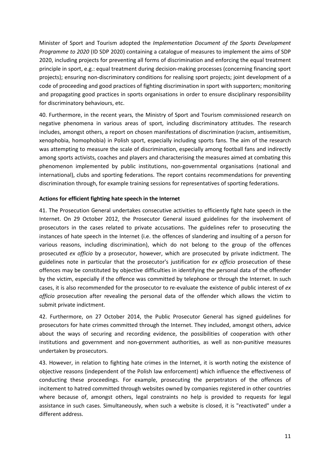Minister of Sport and Tourism adopted the *Implementation Document of the Sports Development Programme to 2020* (ID SDP 2020) containing a catalogue of measures to implement the aims of SDP 2020, including projects for preventing all forms of discrimination and enforcing the equal treatment principle in sport, e.g.: equal treatment during decision-making processes (concerning financing sport projects); ensuring non-discriminatory conditions for realising sport projects; joint development of a code of proceeding and good practices of fighting discrimination in sport with supporters; monitoring and propagating good practices in sports organisations in order to ensure disciplinary responsibility for discriminatory behaviours, etc.

40. Furthermore, in the recent years, the Ministry of Sport and Tourism commissioned research on negative phenomena in various areas of sport, including discriminatory attitudes. The research includes, amongst others, a report on chosen manifestations of discrimination (racism, antisemitism, xenophobia, homophobia) in Polish sport, especially including sports fans. The aim of the research was attempting to measure the scale of discrimination, especially among football fans and indirectly among sports activists, coaches and players and characterising the measures aimed at combating this phenomenon implemented by public institutions, non-governmental organisations (national and international), clubs and sporting federations. The report contains recommendations for preventing discrimination through, for example training sessions for representatives of sporting federations.

### **Actions for efficient fighting hate speech in the Internet**

41. The Prosecution General undertakes consecutive activities to efficiently fight hate speech in the Internet. On 29 October 2012, the Prosecutor General issued guidelines for the involvement of prosecutors in the cases related to private accusations. The guidelines refer to prosecuting the instances of hate speech in the Internet (i.e. the offences of slandering and insulting of a person for various reasons, including discrimination), which do not belong to the group of the offences prosecuted *ex officio* by a prosecutor, however, which are prosecuted by private indictment. The guidelines note in particular that the prosecutor's justification for *ex officio* prosecution of these offences may be constituted by objective difficulties in identifying the personal data of the offender by the victim, especially if the offence was committed by telephone or through the Internet. In such cases, it is also recommended for the prosecutor to re-evaluate the existence of public interest of *ex officio* prosecution after revealing the personal data of the offender which allows the victim to submit private indictment.

42. Furthermore, on 27 October 2014, the Public Prosecutor General has signed guidelines for prosecutors for hate crimes committed through the Internet. They included, amongst others, advice about the ways of securing and recording evidence, the possibilities of cooperation with other institutions and government and non-government authorities, as well as non-punitive measures undertaken by prosecutors.

43. However, in relation to fighting hate crimes in the Internet, it is worth noting the existence of objective reasons (independent of the Polish law enforcement) which influence the effectiveness of conducting these proceedings. For example, prosecuting the perpetrators of the offences of incitement to hatred committed through websites owned by companies registered in other countries where because of, amongst others, legal constraints no help is provided to requests for legal assistance in such cases. Simultaneously, when such a website is closed, it is "reactivated" under a different address.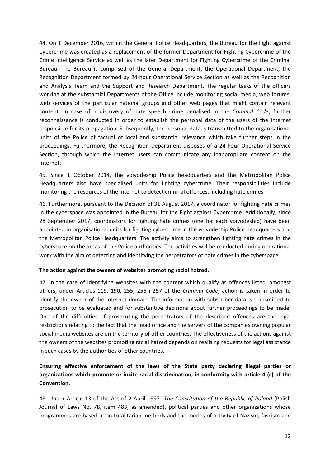44. On 1 December 2016, within the General Police Headquarters, the Bureau for the Fight against Cybercrime was created as a replacement of the former Department for Fighting Cybercrime of the Crime Intelligence Service as well as the later Department for Fighting Cybercrime of the Criminal Bureau. The Bureau is comprised of the General Department, the Operational Department, the Recognition Department formed by 24-hour Operational Service Section as well as the Recognition and Analysis Team and the Support and Research Department. The regular tasks of the officers working at the substantial Departments of the Office include monitoring social media, web forums, web services of the particular national groups and other web pages that might contain relevant content. In case of a discovery of hate speech crime penalised in the *Criminal Code*, further reconnaissance is conducted in order to establish the personal data of the users of the Internet responsible for its propagation. Subsequently, the personal data is transmitted to the organisational units of the Police of factual of local and substantial relevance which take further steps in the proceedings. Furthermore, the Recognition Department disposes of a 24-hour Operational Service Section, through which the Internet users can communicate any inappropriate content on the Internet.

45. Since 1 October 2014, the voivodeship Police headquarters and the Metropolitan Police Headquarters also have specialised units for fighting cybercrime. Their responsibilities include monitoring the resources of the Internet to detect criminal offences, including hate crimes.

46. Furthermore, pursuant to the Decision of 31 August 2017, a coordinator for fighting hate crimes in the cyberspace was appointed in the Bureau for the Fight against Cybercrime. Additionally, since 28 September 2017, coordinators for fighting hate crimes (one for each voivodeship) have been appointed in organisational units for fighting cybercrime in the voivodeship Police headquarters and the Metropolitan Police Headquarters. The activity aims to strengthen fighting hate crimes in the cyberspace on the areas of the Police authorities. The activities will be conducted during operational work with the aim of detecting and identifying the perpetrators of hate crimes in the cyberspace.

### **The action against the owners of websites promoting racial hatred.**

47. In the case of identifying websites with the content which qualify as offences listed, amongst others, under Articles 119, 190, 255, 256 i 257 of the *Criminal Code*, action is taken in order to identify the owner of the Internet domain. The information with subscriber data is transmitted to prosecution to be evaluated and for substantive decisions about further proceedings to be made. One of the difficulties of prosecuting the perpetrators of the described offences are the legal restrictions relating to the fact that the head office and the servers of the companies owning popular social media websites are on the territory of other countries. The effectiveness of the actions against the owners of the websites promoting racial hatred depends on realising requests for legal assistance in such cases by the authorities of other countries.

# **Ensuring effective enforcement of the laws of the State party declaring illegal parties or organizations which promote or incite racial discrimination, in conformity with article 4 (c) of the Convention.**

48. Under Article 13 of the Act of 2 April 1997 *The Constitution of the Republic of Poland* (Polish Journal of Laws No. 78, item 483, as amended), political parties and other organizations whose programmes are based upon totalitarian methods and the modes of activity of Nazism, fascism and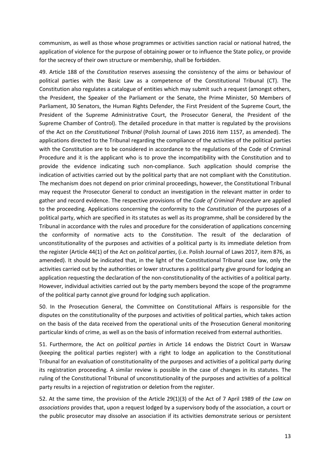communism, as well as those whose programmes or activities sanction racial or national hatred, the application of violence for the purpose of obtaining power or to influence the State policy, or provide for the secrecy of their own structure or membership, shall be forbidden.

49. Article 188 of the *Constitution* reserves assessing the consistency of the aims or behaviour of political parties with the Basic Law as a competence of the Constitutional Tribunal (CT). The Constitution also regulates a catalogue of entities which may submit such a request (amongst others, the President, the Speaker of the Parliament or the Senate, the Prime Minister, 50 Members of Parliament, 30 Senators, the Human Rights Defender, the First President of the Supreme Court, the President of the Supreme Administrative Court, the Prosecutor General, the President of the Supreme Chamber of Control). The detailed procedure in that matter is regulated by the provisions of the Act on *the Constitutional Tribunal* (Polish Journal of Laws 2016 item 1157, as amended). The applications directed to the Tribunal regarding the compliance of the activities of the political parties with the Constitution are to be considered in accordance to the regulations of the Code of Criminal Procedure and it is the applicant who is to prove the incompatibility with the Constitution and to provide the evidence indicating such non-compliance. Such application should comprise the indication of activities carried out by the political party that are not compliant with the Constitution. The mechanism does not depend on prior criminal proceedings, however, the Constitutional Tribunal may request the Prosecutor General to conduct an investigation in the relevant matter in order to gather and record evidence. The respective provisions of the *Code of Criminal Procedure* are applied to the proceeding. Applications concerning the conformity to the *Constitution* of the purposes of a political party, which are specified in its statutes as well as its programme, shall be considered by the Tribunal in accordance with the rules and procedure for the consideration of applications concerning the conformity of normative acts to the *Constitution*. The result of the declaration of unconstitutionality of the purposes and activities of a political party is its immediate deletion from the register (Article 44(1) of the Act on *political parties*, (i.e. Polish Journal of Laws 2017, item 876, as amended). It should be indicated that, in the light of the Constitutional Tribunal case law, only the activities carried out by the authorities or lower structures a political party give ground for lodging an application requesting the declaration of the non-constitutionality of the activities of a political party. However, individual activities carried out by the party members beyond the scope of the programme of the political party cannot give ground for lodging such application.

50. In the Prosecution General, the Committee on Constitutional Affairs is responsible for the disputes on the constitutionality of the purposes and activities of political parties, which takes action on the basis of the data received from the operational units of the Prosecution General monitoring particular kinds of crime, as well as on the basis of information received from external authorities.

51. Furthermore, the Act on *political parties* in Article 14 endows the District Court in Warsaw (keeping the political parties register) with a right to lodge an application to the Constitutional Tribunal for an evaluation of constitutionality of the purposes and activities of a political party during its registration proceeding. A similar review is possible in the case of changes in its statutes. The ruling of the Constitutional Tribunal of unconstitutionality of the purposes and activities of a political party results in a rejection of registration or deletion from the register.

52. At the same time, the provision of the Article 29(1)(3) of the Act of 7 April 1989 of *the Law on associations* provides that, upon a request lodged by a supervisory body of the association, a court or the public prosecutor may dissolve an association if its activities demonstrate serious or persistent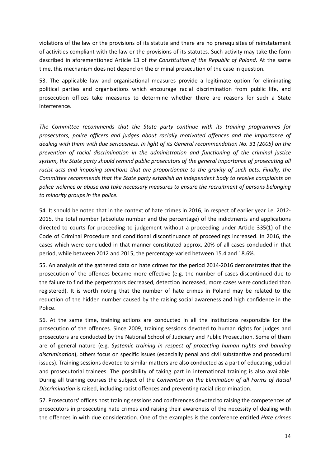violations of the law or the provisions of its statute and there are no prerequisites of reinstatement of activities compliant with the law or the provisions of its statutes. Such activity may take the form described in aforementioned Article 13 of *the Constitution of the Republic of Poland*. At the same time, this mechanism does not depend on the criminal prosecution of the case in question.

53. The applicable law and organisational measures provide a legitimate option for eliminating political parties and organisations which encourage racial discrimination from public life, and prosecution offices take measures to determine whether there are reasons for such a State interference.

*The Committee recommends that the State party continue with its training programmes for prosecutors, police officers and judges about racially motivated offences and the importance of dealing with them with due seriousness. In light of its General recommendation No. 31 (2005) on the prevention of racial discrimination in the administration and functioning of the criminal justice system, the State party should remind public prosecutors of the general importance of prosecuting all racist acts and imposing sanctions that are proportionate to the gravity of such acts. Finally, the Committee recommends that the State party establish an independent body to receive complaints on police violence or abuse and take necessary measures to ensure the recruitment of persons belonging to minority groups in the police.* 

54. It should be noted that in the context of hate crimes in 2016, in respect of earlier year i.e. 2012- 2015, the total number (absolute number and the percentage) of the indictments and applications directed to courts for proceeding to judgement without a proceeding under Article 335(1) of the Code of Criminal Procedure and conditional discontinuance of proceedings increased. In 2016, the cases which were concluded in that manner constituted approx. 20% of all cases concluded in that period, while between 2012 and 2015, the percentage varied between 15.4 and 18.6%.

55. An analysis of the gathered data on hate crimes for the period 2014-2016 demonstrates that the prosecution of the offences became more effective (e.g. the number of cases discontinued due to the failure to find the perpetrators decreased, detection increased, more cases were concluded than registered). It is worth noting that the number of hate crimes in Poland may be related to the reduction of the hidden number caused by the raising social awareness and high confidence in the Police.

56. At the same time, training actions are conducted in all the institutions responsible for the prosecution of the offences. Since 2009, training sessions devoted to human rights for judges and prosecutors are conducted by the National School of Judiciary and Public Prosecution. Some of them are of general nature (e.g. *Systemic training in respect of protecting human rights and banning discrimination*), others focus on specific issues (especially penal and civil substantive and procedural issues). Training sessions devoted to similar matters are also conducted as a part of educating judicial and prosecutorial trainees. The possibility of taking part in international training is also available. During all training courses the subject of the *Convention on the Elimination of all Forms of Racial Discrimination* is raised, including racist offences and preventing racial discrimination.

57. Prosecutors' offices host training sessions and conferences devoted to raising the competences of prosecutors in prosecuting hate crimes and raising their awareness of the necessity of dealing with the offences in with due consideration. One of the examples is the conference entitled *Hate crimes*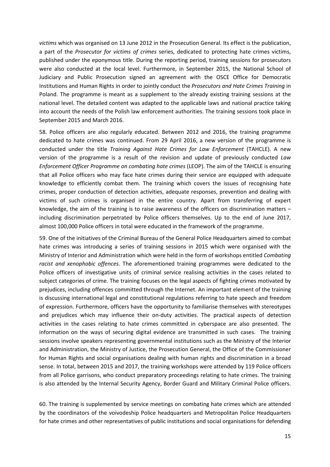*victims* which was organised on 13 June 2012 in the Prosecution General. Its effect is the publication, a part of the *Prosecutor for victims of crimes* series, dedicated to protecting hate crimes victims, published under the eponymous title. During the reporting period, training sessions for prosecutors were also conducted at the local level. Furthermore, in September 2015, the National School of Judiciary and Public Prosecution signed an agreement with the OSCE Office for Democratic Institutions and Human Rights in order to jointly conduct the *Prosecutors and Hate Crimes Training* in Poland. The programme is meant as a supplement to the already existing training sessions at the national level. The detailed content was adapted to the applicable laws and national practice taking into account the needs of the Polish law enforcement authorities. The training sessions took place in September 2015 and March 2016.

58. Police officers are also regularly educated. Between 2012 and 2016, the training programme dedicated to hate crimes was continued. From 29 April 2016, a new version of the programme is conducted under the title *Training Against Hate Crimes for Law Enforcement* (TAHCLE). A new version of the programme is a result of the revision and update of previously conducted *Law Enforcement Officer Programme on combating hate crimes* (LEOP). The aim of the TAHCLE is ensuring that all Police officers who may face hate crimes during their service are equipped with adequate knowledge to efficiently combat them. The training which covers the issues of recognising hate crimes, proper conduction of detection activities, adequate responses, prevention and dealing with victims of such crimes is organised in the entire country. Apart from transferring of expert knowledge, the aim of the training is to raise awareness of the officers on discrimination matters – including discrimination perpetrated by Police officers themselves. Up to the end of June 2017, almost 100,000 Police officers in total were educated in the framework of the programme.

59. One of the initiatives of the Criminal Bureau of the General Police Headquarters aimed to combat hate crimes was introducing a series of training sessions in 2015 which were organised with the Ministry of Interior and Administration which were held in the form of workshops entitled *Combating racist and xenophobic offences*. The aforementioned training programmes were dedicated to the Police officers of investigative units of criminal service realising activities in the cases related to subject categories of crime. The training focuses on the legal aspects of fighting crimes motivated by prejudices, including offences committed through the Internet. An important element of the training is discussing international legal and constitutional regulations referring to hate speech and freedom of expression. Furthermore, officers have the opportunity to familiarise themselves with stereotypes and prejudices which may influence their on-duty activities. The practical aspects of detection activities in the cases relating to hate crimes committed in cyberspace are also presented. The information on the ways of securing digital evidence are transmitted in such cases. The training sessions involve speakers representing governmental institutions such as the Ministry of the Interior and Administration, the Ministry of Justice, the Prosecution General, the Office of the Commissioner for Human Rights and social organisations dealing with human rights and discrimination in a broad sense. In total, between 2015 and 2017, the training workshops were attended by 119 Police officers from all Police garrisons, who conduct preparatory proceedings relating to hate crimes. The training is also attended by the Internal Security Agency, Border Guard and Military Criminal Police officers.

60. The training is supplemented by service meetings on combating hate crimes which are attended by the coordinators of the voivodeship Police headquarters and Metropolitan Police Headquarters for hate crimes and other representatives of public institutions and social organisations for defending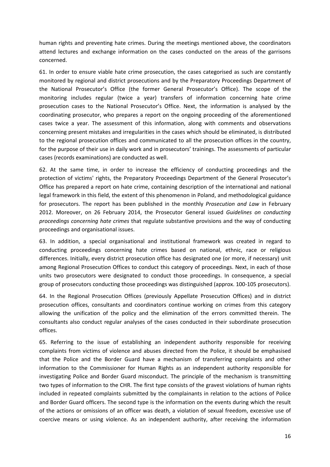human rights and preventing hate crimes. During the meetings mentioned above, the coordinators attend lectures and exchange information on the cases conducted on the areas of the garrisons concerned.

61. In order to ensure viable hate crime prosecution, the cases categorised as such are constantly monitored by regional and district prosecutions and by the Preparatory Proceedings Department of the National Prosecutor's Office (the former General Prosecutor's Office). The scope of the monitoring includes regular (twice a year) transfers of information concerning hate crime prosecution cases to the National Prosecutor's Office. Next, the information is analysed by the coordinating prosecutor, who prepares a report on the ongoing proceeding of the aforementioned cases twice a year. The assessment of this information, along with comments and observations concerning present mistakes and irregularities in the cases which should be eliminated, is distributed to the regional prosecution offices and communicated to all the prosecution offices in the country, for the purpose of their use in daily work and in prosecutors' trainings. The assessments of particular cases (records examinations) are conducted as well.

62. At the same time, in order to increase the efficiency of conducting proceedings and the protection of victims' rights, the Preparatory Proceedings Department of the General Prosecutor's Office has prepared a report on hate crime, containing description of the international and national legal framework in this field, the extent of this phenomenon in Poland, and methodological guidance for prosecutors. The report has been published in the monthly *Prosecution and Law* in February 2012. Moreover, on 26 February 2014, the Prosecutor General issued *Guidelines on conducting proceedings concerning hate crimes* that regulate substantive provisions and the way of conducting proceedings and organisational issues.

63. In addition, a special organisational and institutional framework was created in regard to conducting proceedings concerning hate crimes based on national, ethnic, race or religious differences. Initially, every district prosecution office has designated one (or more, if necessary) unit among Regional Prosecution Offices to conduct this category of proceedings. Next, in each of those units two prosecutors were designated to conduct those proceedings. In consequence, a special group of prosecutors conducting those proceedings was distinguished (approx. 100-105 prosecutors).

64. In the Regional Prosecution Offices (previously Appellate Prosecution Offices) and in district prosecution offices, consultants and coordinators continue working on crimes from this category allowing the unification of the policy and the elimination of the errors committed therein. The consultants also conduct regular analyses of the cases conducted in their subordinate prosecution offices.

65. Referring to the issue of establishing an independent authority responsible for receiving complaints from victims of violence and abuses directed from the Police, it should be emphasised that the Police and the Border Guard have a mechanism of transferring complaints and other information to the Commissioner for Human Rights as an independent authority responsible for investigating Police and Border Guard misconduct. The principle of the mechanism is transmitting two types of information to the CHR. The first type consists of the gravest violations of human rights included in repeated complaints submitted by the complainants in relation to the actions of Police and Border Guard officers. The second type is the information on the events during which the result of the actions or omissions of an officer was death, a violation of sexual freedom, excessive use of coercive means or using violence. As an independent authority, after receiving the information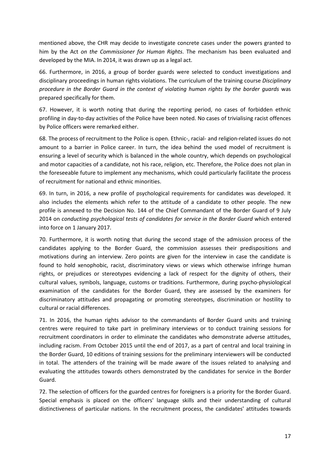mentioned above, the CHR may decide to investigate concrete cases under the powers granted to him by the Act *on the Commissioner for Human Rights*. The mechanism has been evaluated and developed by the MIA. In 2014, it was drawn up as a legal act.

66. Furthermore, in 2016, a group of border guards were selected to conduct investigations and disciplinary proceedings in human rights violations. The curriculum of the training course *Disciplinary procedure in the Border Guard in the context of violating human rights by the border guards* was prepared specifically for them.

67. However, it is worth noting that during the reporting period, no cases of forbidden ethnic profiling in day-to-day activities of the Police have been noted. No cases of trivialising racist offences by Police officers were remarked either.

68. The process of recruitment to the Police is open. Ethnic-, racial- and religion-related issues do not amount to a barrier in Police career. In turn, the idea behind the used model of recruitment is ensuring a level of security which is balanced in the whole country, which depends on psychological and motor capacities of a candidate, not his race, religion, etc. Therefore, the Police does not plan in the foreseeable future to implement any mechanisms, which could particularly facilitate the process of recruitment for national and ethnic minorities.

69. In turn, in 2016, a new profile of psychological requirements for candidates was developed. It also includes the elements which refer to the attitude of a candidate to other people. The new profile is annexed to the Decision No. 144 of the Chief Commandant of the Border Guard of 9 July 2014 on *conducting psychological tests of candidates for service in the Border Guard* which entered into force on 1 January 2017.

70. Furthermore, it is worth noting that during the second stage of the admission process of the candidates applying to the Border Guard, the commission assesses their predispositions and motivations during an interview. Zero points are given for the interview in case the candidate is found to hold xenophobic, racist, discriminatory views or views which otherwise infringe human rights, or prejudices or stereotypes evidencing a lack of respect for the dignity of others, their cultural values, symbols, language, customs or traditions. Furthermore, during psycho-physiological examination of the candidates for the Border Guard, they are assessed by the examiners for discriminatory attitudes and propagating or promoting stereotypes, discrimination or hostility to cultural or racial differences.

71. In 2016, the human rights advisor to the commandants of Border Guard units and training centres were required to take part in preliminary interviews or to conduct training sessions for recruitment coordinators in order to eliminate the candidates who demonstrate adverse attitudes, including racism. From October 2015 until the end of 2017, as a part of central and local training in the Border Guard, 10 editions of training sessions for the preliminary interviewers will be conducted in total. The attenders of the training will be made aware of the issues related to analysing and evaluating the attitudes towards others demonstrated by the candidates for service in the Border Guard.

72. The selection of officers for the guarded centres for foreigners is a priority for the Border Guard. Special emphasis is placed on the officers' language skills and their understanding of cultural distinctiveness of particular nations. In the recruitment process, the candidates' attitudes towards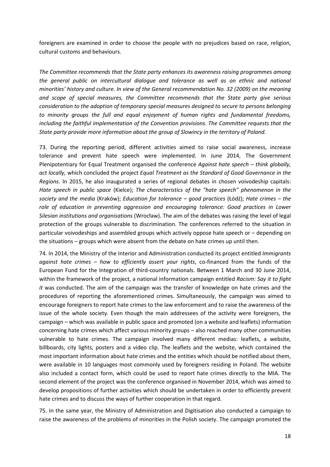foreigners are examined in order to choose the people with no prejudices based on race, religion, cultural customs and behaviours.

*The Committee recommends that the State party enhances its awareness raising programmes among the general public on intercultural dialogue and tolerance as well as on ethnic and national minorities' history and culture. In view of the General recommendation No. 32 (2009) on the meaning and scope of special measures, the Committee recommends that the State party give serious consideration to the adoption of temporary special measures designed to secure to persons belonging to minority groups the full and equal enjoyment of human rights and fundamental freedoms, including the faithful implementation of the Convention provisions. The Committee requests that the State party provide more information about the group of Slowincy in the territory of Poland.* 

73. During the reporting period, different activities aimed to raise social awareness, increase tolerance and prevent hate speech were implemented. In June 2014, The Government Plenipotentiary for Equal Treatment organised the conference *Against hate speech – think globally, act locally,* which concluded the project *Equal Treatment as the Standard of Good Governance in the Regions*. In 2015, he also inaugurated a series of regional debates in chosen voivodeship capitals: *Hate speech in public space* (Kielce); *The characteristics of the "hate speech" phenomenon in the society and the media* (Kraków); *Education for tolerance – good practices* (Łódź); *Hate crimes – the role of education in preventing aggression and encouraging tolerance: Good practices in Lower Silesian institutions and organisations* (Wrocław). The aim of the debates was raising the level of legal protection of the groups vulnerable to discrimination. The conferences referred to the situation in particular voivodeships and assembled groups which actively oppose hate speech or – depending on the situations – groups which were absent from the debate on hate crimes up until then.

74. In 2014, the Ministry of the Interior and Administration conducted its project entitled *Immigrants against hate crimes – how to efficiently assert your rights*, co-financed from the funds of the European Fund for the Integration of third-country nationals. Between 1 March and 30 June 2014, within the framework of the project, a national information campaign entitled *Racism: Say it to fight it* was conducted. The aim of the campaign was the transfer of knowledge on hate crimes and the procedures of reporting the aforementioned crimes. Simultaneously, the campaign was aimed to encourage foreigners to report hate crimes to the law enforcement and to raise the awareness of the issue of the whole society. Even though the main addressees of the activity were foreigners, the campaign – which was available in public space and promoted (on a website and leaflets) information concerning hate crimes which affect various minority groups – also reached many other communities vulnerable to hate crimes. The campaign involved many different medias: leaflets, a website, billboards, city lights, posters and a video clip. The leaflets and the website, which contained the most important information about hate crimes and the entities which should be notified about them, were available in 10 languages most commonly used by foreigners residing in Poland. The website also included a contact form, which could be used to report hate crimes directly to the MIA. The second element of the project was the conference organised in November 2014, which was aimed to develop propositions of further activities which should be undertaken in order to efficiently prevent hate crimes and to discuss the ways of further cooperation in that regard.

75. In the same year, the Ministry of Administration and Digitisation also conducted a campaign to raise the awareness of the problems of minorities in the Polish society. The campaign promoted the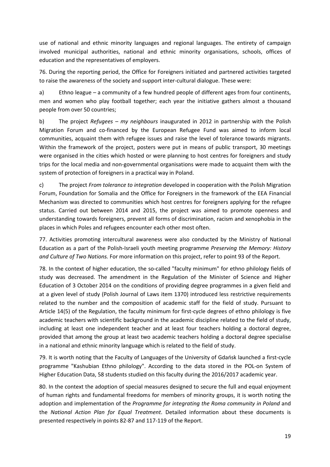use of national and ethnic minority languages and regional languages. The entirety of campaign involved municipal authorities, national and ethnic minority organisations, schools, offices of education and the representatives of employers.

76. During the reporting period, the Office for Foreigners initiated and partnered activities targeted to raise the awareness of the society and support inter-cultural dialogue. These were:

a) Ethno league – a community of a few hundred people of different ages from four continents, men and women who play football together; each year the initiative gathers almost a thousand people from over 50 countries;

b) The project *Refugees – my neighbours* inaugurated in 2012 in partnership with the Polish Migration Forum and co-financed by the European Refugee Fund was aimed to inform local communities, acquaint them with refugee issues and raise the level of tolerance towards migrants. Within the framework of the project, posters were put in means of public transport, 30 meetings were organised in the cities which hosted or were planning to host centres for foreigners and study trips for the local media and non-governmental organisations were made to acquaint them with the system of protection of foreigners in a practical way in Poland.

c) The project *From tolerance to integration* developed in cooperation with the Polish Migration Forum, Foundation for Somalia and the Office for Foreigners in the framework of the EEA Financial Mechanism was directed to communities which host centres for foreigners applying for the refugee status. Carried out between 2014 and 2015, the project was aimed to promote openness and understanding towards foreigners, prevent all forms of discrimination, racism and xenophobia in the places in which Poles and refugees encounter each other most often.

77. Activities promoting intercultural awareness were also conducted by the Ministry of National Education as a part of the Polish-Israeli youth meeting programme *Preserving the Memory: History and Culture of Two Nations.* For more information on this project, refer to point 93 of the Report.

78. In the context of higher education, the so-called "faculty minimum" for ethno philology fields of study was decreased. The amendment in the Regulation of the Minister of Science and Higher Education of 3 October 2014 on the conditions of providing degree programmes in a given field and at a given level of study (Polish Journal of Laws item 1370) introduced less restrictive requirements related to the number and the composition of academic staff for the field of study. Pursuant to Article 14(5) of the Regulation, the faculty minimum for first-cycle degrees of ethno philology is five academic teachers with scientific background in the academic discipline related to the field of study, including at least one independent teacher and at least four teachers holding a doctoral degree, provided that among the group at least two academic teachers holding a doctoral degree specialise in a national and ethnic minority language which is related to the field of study.

79. It is worth noting that the Faculty of Languages of the University of Gdańsk launched a first-cycle programme "Kashubian Ethno philology". According to the data stored in the POL-on System of Higher Education Data, 58 students studied on this faculty during the 2016/2017 academic year.

80. In the context the adoption of special measures designed to secure the full and equal enjoyment of human rights and fundamental freedoms for members of minority groups, it is worth noting the adoption and implementation of the *Programme for integrating the Roma community in Poland* and the *National Action Plan for Equal Treatment*. Detailed information about these documents is presented respectively in points 82-87 and 117-119 of the Report.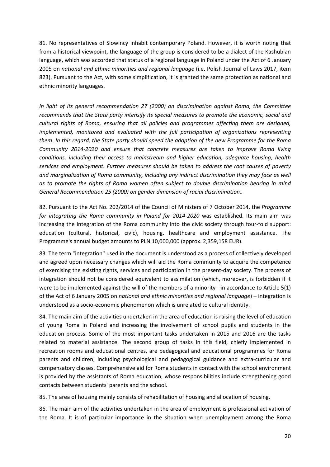81. No representatives of Slowincy inhabit contemporary Poland. However, it is worth noting that from a historical viewpoint, the language of the group is considered to be a dialect of the Kashubian language, which was accorded that status of a regional language in Poland under the Act of 6 January 2005 on *national and ethnic minorities and regional language* (i.e. Polish Journal of Laws 2017, item 823). Pursuant to the Act, with some simplification, it is granted the same protection as national and ethnic minority languages.

*In light of its general recommendation 27 (2000) on discrimination against Roma, the Committee recommends that the State party intensify its special measures to promote the economic, social and cultural rights of Roma, ensuring that all policies and programmes affecting them are designed, implemented, monitored and evaluated with the full participation of organizations representing them. In this regard, the State party should speed the adoption of the new Programme for the Roma Community 2014-2020 and ensure that concrete measures are taken to improve Roma living conditions, including their access to mainstream and higher education, adequate housing, health services and employment. Further measures should be taken to address the root causes of poverty and marginalization of Roma community, including any indirect discrimination they may face as well as to promote the rights of Roma women often subject to double discrimination bearing in mind General Recommendation 25 (2000) on gender dimension of racial discrimination..* 

82. Pursuant to the Act No. 202/2014 of the Council of Ministers of 7 October 2014, the *Programme for integrating the Roma community in Poland for 2014-2020* was established. Its main aim was increasing the integration of the Roma community into the civic society through four-fold support: education (cultural, historical, civic), housing, healthcare and employment assistance. The Programme's annual budget amounts to PLN 10,000,000 (approx. 2,359,158 EUR).

83. The term "integration" used in the document is understood as a process of collectively developed and agreed upon necessary changes which will aid the Roma community to acquire the competence of exercising the existing rights, services and participation in the present-day society. The process of integration should not be considered equivalent to assimilation (which, moreover, is forbidden if it were to be implemented against the will of the members of a minority - in accordance to Article 5(1) of the Act of 6 January 2005 on *national and ethnic minorities and regional language*) – integration is understood as a socio-economic phenomenon which is unrelated to cultural identity.

84. The main aim of the activities undertaken in the area of education is raising the level of education of young Roma in Poland and increasing the involvement of school pupils and students in the education process. Some of the most important tasks undertaken in 2015 and 2016 are the tasks related to material assistance. The second group of tasks in this field, chiefly implemented in recreation rooms and educational centres, are pedagogical and educational programmes for Roma parents and children, including psychological and pedagogical guidance and extra-curricular and compensatory classes. Comprehensive aid for Roma students in contact with the school environment is provided by the assistants of Roma education, whose responsibilities include strengthening good contacts between students' parents and the school.

85. The area of housing mainly consists of rehabilitation of housing and allocation of housing.

86. The main aim of the activities undertaken in the area of employment is professional activation of the Roma. It is of particular importance in the situation when unemployment among the Roma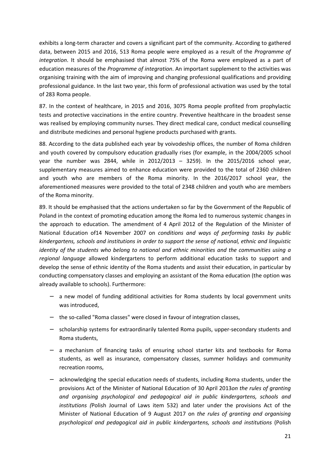exhibits a long-term character and covers a significant part of the community. According to gathered data, between 2015 and 2016, 513 Roma people were employed as a result of the *Programme of integration*. It should be emphasised that almost 75% of the Roma were employed as a part of education measures of the *Programme of integration*. An important supplement to the activities was organising training with the aim of improving and changing professional qualifications and providing professional guidance. In the last two year, this form of professional activation was used by the total of 283 Roma people.

87. In the context of healthcare, in 2015 and 2016, 3075 Roma people profited from prophylactic tests and protective vaccinations in the entire country. Preventive healthcare in the broadest sense was realised by employing community nurses. They direct medical care, conduct medical counselling and distribute medicines and personal hygiene products purchased with grants.

88. According to the data published each year by voivodeship offices, the number of Roma children and youth covered by compulsory education gradually rises (for example, in the 2004/2005 school year the number was 2844, while in 2012/2013 – 3259). In the 2015/2016 school year, supplementary measures aimed to enhance education were provided to the total of 2360 children and youth who are members of the Roma minority. In the 2016/2017 school year, the aforementioned measures were provided to the total of 2348 children and youth who are members of the Roma minority.

89. It should be emphasised that the actions undertaken so far by the Government of the Republic of Poland in the context of promoting education among the Roma led to numerous systemic changes in the approach to education. The amendment of 4 April 2012 of the Regulation of the Minister of National Education of14 November 2007 on *conditions and ways of performing tasks by public kindergartens, schools and institutions in order to support the sense of national, ethnic and linguistic identity of the students who belong to national and ethnic minorities and the communities using a regional language* allowed kindergartens to perform additional education tasks to support and develop the sense of ethnic identity of the Roma students and assist their education, in particular by conducting compensatory classes and employing an assistant of the Roma education (the option was already available to schools). Furthermore:

- − a new model of funding additional activities for Roma students by local government units was introduced,
- − the so-called "Roma classes" were closed in favour of integration classes,
- − scholarship systems for extraordinarily talented Roma pupils, upper-secondary students and Roma students,
- − a mechanism of financing tasks of ensuring school starter kits and textbooks for Roma students, as well as insurance, compensatory classes, summer holidays and community recreation rooms,
- − acknowledging the special education needs of students, including Roma students, under the provisions Act of the Minister of National Education of 30 April 2013*on the rules of granting and organising psychological and pedagogical aid in public kindergartens, schools and institutions (*Polish Journal of Laws item 532) and later under the provisions Act of the Minister of National Education of 9 August 2017 on *the rules of granting and organising psychological and pedagogical aid in public kindergartens, schools and institutions* (Polish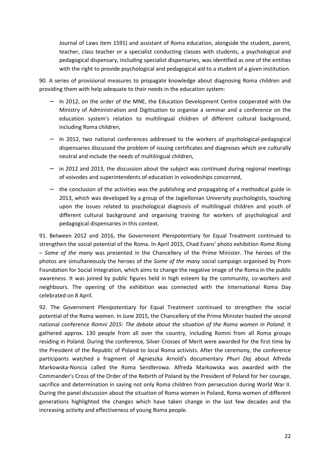Journal of Laws item 1591) and assistant of Roma education, alongside the student, parent, teacher, class teacher or a specialist conducting classes with students, a psychological and pedagogical dispensary, including specialist dispensaries, was identified as one of the entities with the right to provide psychological and pedagogical aid to a student of a given institution.

90. A series of provisional measures to propagate knowledge about diagnosing Roma children and providing them with help adequate to their needs in the education system:

- − In 2012, on the order of the MNE, the Education Development Centre cooperated with the Ministry of Administration and Digitisation to organise a seminar and a conference on the education system's relation to multilingual children of different cultural background, including Roma children,
- − In 2012, two national conferences addressed to the workers of psychological-pedagogical dispensaries discussed the problem of issuing certificates and diagnoses which are culturally neutral and include the needs of multilingual children,
- − in 2012 and 2013, the discussion about the subject was continued during regional meetings of voivodes and superintendents of education in voivodeships concerned,
- − the conclusion of the activities was the publishing and propagating of a methodical guide in 2013, which was developed by a group of the Jagiellonian University psychologists, touching upon the issues related to psychological diagnosis of multilingual children and youth of different cultural background and organising training for workers of psychological and pedagogical dispensaries in this context.

91. Between 2012 and 2016, the Government Plenipotentiary for Equal Treatment continued to strengthen the social potential of the Roma. In April 2015, Chad Evans' photo exhibition *Roma Rising – Some of the many* was presented in the Chancellery of the Prime Minister. The heroes of the photos are simultaneously the heroes of the *Some of the many* social campaign organised by Prom Foundation for Social Integration, which aims to change the negative image of the Roma in the public awareness. It was joined by public figures held in high esteem by the community, co-workers and neighbours. The opening of the exhibition was connected with the International Roma Day celebrated on 8 April.

92. The Government Plenipotentiary for Equal Treatment continued to strengthen the social potential of the Roma women. In June 2015, the Chancellery of the Prime Minister hosted the second national conference *Romni 2015: The debate about the situation of the Roma women in Poland*. It gathered approx. 130 people from all over the country, including Romni from all Roma groups residing in Poland. During the conference, Silver Crosses of Merit were awarded for the first time by the President of the Republic of Poland to local Roma activists. After the ceremony, the conference participants watched a fragment of Agnieszka Arnold's documentary *Phuri Daj* about Alfreda Markowska-Noncia called the Roma Sendlerowa. Alfreda Markowska was awarded with the Commander's Cross of the Order of the Rebirth of Poland by the President of Poland for her courage, sacrifice and determination in saving not only Roma children from persecution during World War II. During the panel discussion about the situation of Roma women in Poland, Roma women of different generations highlighted the changes which have taken change in the last few decades and the increasing activity and effectiveness of young Roma people.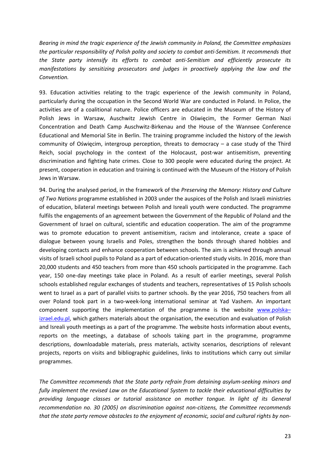*Bearing in mind the tragic experience of the Jewish community in Poland, the Committee emphasizes the particular responsibility of Polish polity and society to combat anti-Semitism. It recommends that the State party intensify its efforts to combat anti-Semitism and efficiently prosecute its manifestations by sensitizing prosecutors and judges in proactively applying the law and the Convention.* 

93. Education activities relating to the tragic experience of the Jewish community in Poland, particularly during the occupation in the Second World War are conducted in Poland. In Police, the activities are of a coalitional nature. Police officers are educated in the Museum of the History of Polish Jews in Warsaw, Auschwitz Jewish Centre in Oświęcim, the Former German Nazi Concentration and Death Camp Auschwitz-Birkenau and the House of the Wannsee Conference Educational and Memorial Site in Berlin. The training programme included the history of the Jewish community of Oświęcim, intergroup perception, threats to democracy – a case study of the Third Reich, social psychology in the context of the Holocaust, post-war antisemitism, preventing discrimination and fighting hate crimes. Close to 300 people were educated during the project. At present, cooperation in education and training is continued with the Museum of the History of Polish Jews in Warsaw.

94. During the analysed period, in the framework of the *Preserving the Memory*: *History and Culture of Two Nations* programme established in 2003 under the auspices of the Polish and Israeli ministries of education, bilateral meetings between Polish and Isreali youth were conducted. The programme fulfils the engagements of an agreement between the Government of the Republic of Poland and the Government of Israel on cultural, scientific and education cooperation. The aim of the programme was to promote education to prevent antisemitism, racism and intolerance, create a space of dialogue between young Israelis and Poles, strengthen the bonds through shared hobbies and developing contacts and enhance cooperation between schools. The aim is achieved through annual visits of Israeli school pupils to Poland as a part of education-oriented study visits. In 2016, more than 20,000 students and 450 teachers from more than 450 schools participated in the programme. Each year, 150 one-day meetings take place in Poland. As a result of earlier meetings, several Polish schools established regular exchanges of students and teachers, representatives of 15 Polish schools went to Israel as a part of parallel visits to partner schools. By the year 2016, 750 teachers from all over Poland took part in a two-week-long international seminar at Yad Vashem. An important component supporting the implementation of the programme is the website www.polska– izrael.edu.pl, which gathers materials about the organisation, the execution and evaluation of Polish and Isreali youth meetings as a part of the programme. The website hosts information about events, reports on the meetings, a database of schools taking part in the programme, programme descriptions, downloadable materials, press materials, activity scenarios, descriptions of relevant projects, reports on visits and bibliographic guidelines, links to institutions which carry out similar programmes.

*The Committee recommends that the State party refrain from detaining asylum-seeking minors and fully implement the revised Law on the Educational System to tackle their educational difficulties by providing language classes or tutorial assistance on mother tongue. In light of its General recommendation no. 30 (2005) on discrimination against non-citizens, the Committee recommends that the state party remove obstacles to the enjoyment of economic, social and cultural rights by non-*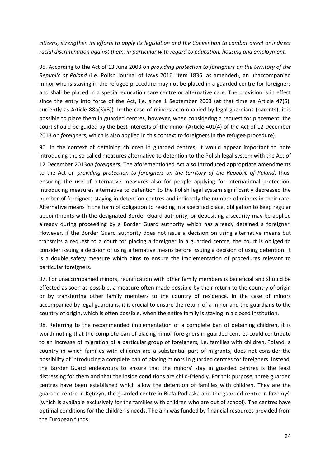*citizens, strengthen its efforts to apply its legislation and the Convention to combat direct or indirect racial discrimination against them, in particular with regard to education, housing and employment.* 

95. According to the Act of 13 June 2003 on *providing protection to foreigners on the territory of the Republic of Poland* (i.e. Polish Journal of Laws 2016, item 1836, as amended), an unaccompanied minor who is staying in the refugee procedure may not be placed in a guarded centre for foreigners and shall be placed in a special education care centre or alternative care. The provision is in effect since the entry into force of the Act, i.e. since 1 September 2003 (at that time as Article 47(5), currently as Article 88a(3)(3)). In the case of minors accompanied by legal guardians (parents), it is possible to place them in guarded centres, however, when considering a request for placement, the court should be guided by the best interests of the minor (Article 401(4) of the Act of 12 December 2013 on *foreigners*, which is also applied in this context to foreigners in the refugee procedure).

96. In the context of detaining children in guarded centres, it would appear important to note introducing the so-called measures alternative to detention to the Polish legal system with the Act of 12 December 2013*on foreigners.* The aforementioned Act also introduced appropriate amendments to the Act on *providing protection to foreigners on the territory of the Republic of Poland*, thus, ensuring the use of alternative measures also for people applying for international protection. Introducing measures alternative to detention to the Polish legal system significantly decreased the number of foreigners staying in detention centres and indirectly the number of minors in their care. Alternative means in the form of obligation to residing in a specified place, obligation to keep regular appointments with the designated Border Guard authority, or depositing a security may be applied already during proceeding by a Border Guard authority which has already detained a foreigner. However, if the Border Guard authority does not issue a decision on using alternative means but transmits a request to a court for placing a foreigner in a guarded centre, the court is obliged to consider issuing a decision of using alternative means before issuing a decision of using detention. It is a double safety measure which aims to ensure the implementation of procedures relevant to particular foreigners.

97. For unaccompanied minors, reunification with other family members is beneficial and should be effected as soon as possible, a measure often made possible by their return to the country of origin or by transferring other family members to the country of residence. In the case of minors accompanied by legal guardians, it is crucial to ensure the return of a minor and the guardians to the country of origin, which is often possible, when the entire family is staying in a closed institution.

98. Referring to the recommended implementation of a complete ban of detaining children, it is worth noting that the complete ban of placing minor foreigners in guarded centres could contribute to an increase of migration of a particular group of foreigners, i.e. families with children. Poland, a country in which families with children are a substantial part of migrants, does not consider the possibility of introducing a complete ban of placing minors in guarded centres for foreigners. Instead, the Border Guard endeavours to ensure that the minors' stay in guarded centres is the least distressing for them and that the inside conditions are child-friendly. For this purpose, three guarded centres have been established which allow the detention of families with children. They are the guarded centre in Kętrzyn, the guarded centre in Biała Podlaska and the guarded centre in Przemyśl (which is available exclusively for the families with children who are out of school). The centres have optimal conditions for the children's needs. The aim was funded by financial resources provided from the European funds.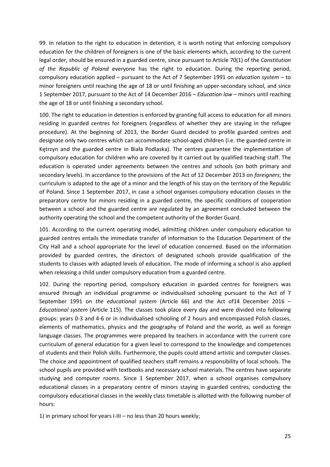99. In relation to the right to education in detention, it is worth noting that enforcing compulsory education for the children of foreigners is one of the basic elements which, according to the current legal order, should be ensured in a guarded centre, since pursuant to Article 70(1) of the *Constitution of the Republic of Poland* everyone has the right to education. During the reporting period, compulsory education applied – pursuant to the Act of 7 September 1991 on *education system* – to minor foreigners until reaching the age of 18 or until finishing an upper-secondary school, and since 1 September 2017, pursuant to the Act of 14 December 2016 – *Education law* – minors until reaching the age of 18 or until finishing a secondary school.

100. The right to education in detention is enforced by granting full access to education for all minors residing in guarded centres for foreigners (regardless of whether they are staying in the refugee procedure). At the beginning of 2013, the Border Guard decided to profile guarded centres and designate only two centres which can accommodate school-aged children (i.e. the guarded centre in Kętrzyn and the guarded centre in Biała Podlaska). The centres guarantee the implementation of compulsory education for children who are covered by it carried out by qualified teaching staff. The education is operated under agreements between the centres and schools (on both primary and secondary levels). In accordance to the provisions of the Act of 12 December 2013 on *foreigners*, the curriculum is adapted to the age of a minor and the length of his stay on the territory of the Republic of Poland. Since 1 September 2017, in case a school organises compulsory education classes in the preparatory centre for minors residing in a guarded centre, the specific conditions of cooperation between a school and the guarded centre are regulated by an agreement concluded between the authority operating the school and the competent authority of the Border Guard.

101. According to the current operating model, admitting children under compulsory education to guarded centres entails the immediate transfer of information to the Education Department of the City Hall and a school appropriate for the level of education concerned. Based on the information provided by guarded centres, the directors of designated schools provide qualification of the students to classes with adapted levels of education. The mode of informing a school is also applied when releasing a child under compulsory education from a guarded centre.

102. During the reporting period, compulsory education in guarded centres for foreigners was ensured through an individual programme or individualised schooling pursuant to the Act of 7 September 1991 on *the educational system* (Article 66) and the Act of14 December 2016 – *Educational system* (Article 115). The classes took place every day and were divided into following groups: years 0-3 and 4-6 or in individualised schooling of 2 hours and encompassed Polish classes, elements of mathematics, physics and the geography of Poland and the world, as well as foreign language classes. The programmes were prepared by teachers in accordance with the current core curriculum of general education for a given level to correspond to the knowledge and competences of students and their Polish skills. Furthermore, the pupils could attend artistic and computer classes. The choice and appointment of qualified teachers staff remains a responsibility of local schools. The school pupils are provided with textbooks and necessary school materials. The centres have separate studying and computer rooms. Since 1 September 2017, when a school organises compulsory educational classes in a preparatory centre of minors staying in guarded centres, conducting the compulsory educational classes in the weekly class timetable is allotted with the following number of hours:

1) in primary school for years I-III – no less than 20 hours weekly;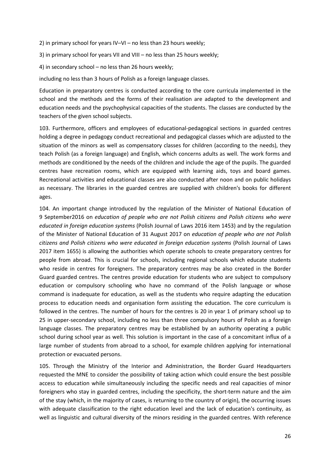2) in primary school for years IV–VI – no less than 23 hours weekly;

3) in primary school for years VII and VIII – no less than 25 hours weekly;

4) in secondary school – no less than 26 hours weekly;

including no less than 3 hours of Polish as a foreign language classes.

Education in preparatory centres is conducted according to the core curricula implemented in the school and the methods and the forms of their realisation are adapted to the development and education needs and the psychophysical capacities of the students. The classes are conducted by the teachers of the given school subjects.

103. Furthermore, officers and employees of educational-pedagogical sections in guarded centres holding a degree in pedagogy conduct recreational and pedagogical classes which are adjusted to the situation of the minors as well as compensatory classes for children (according to the needs), they teach Polish (as a foreign language) and English, which concerns adults as well. The work forms and methods are conditioned by the needs of the children and include the age of the pupils. The guarded centres have recreation rooms, which are equipped with learning aids, toys and board games. Recreational activities and educational classes are also conducted after noon and on public holidays as necessary. The libraries in the guarded centres are supplied with children's books for different ages.

104. An important change introduced by the regulation of the Minister of National Education of 9 September2016 on *education of people who are not Polish citizens and Polish citizens who were educated in foreign education systems* (Polish Journal of Laws 2016 item 1453) and by the regulation of the Minister of National Education of 31 August 2017 on *education of people who are not Polish citizens and Polish citizens who were educated in foreign education systems* (Polish Journal of Laws 2017 item 1655) is allowing the authorities which operate schools to create preparatory centres for people from abroad. This is crucial for schools, including regional schools which educate students who reside in centres for foreigners. The preparatory centres may be also created in the Border Guard guarded centres. The centres provide education for students who are subject to compulsory education or compulsory schooling who have no command of the Polish language or whose command is inadequate for education, as well as the students who require adapting the education process to education needs and organisation form assisting the education. The core curriculum is followed in the centres. The number of hours for the centres is 20 in year 1 of primary school up to 25 in upper-secondary school, including no less than three compulsory hours of Polish as a foreign language classes. The preparatory centres may be established by an authority operating a public school during school year as well. This solution is important in the case of a concomitant influx of a large number of students from abroad to a school, for example children applying for international protection or evacuated persons.

105. Through the Ministry of the Interior and Administration, the Border Guard Headquarters requested the MNE to consider the possibility of taking action which could ensure the best possible access to education while simultaneously including the specific needs and real capacities of minor foreigners who stay in guarded centres, including the specificity, the short-term nature and the aim of the stay (which, in the majority of cases, is returning to the country of origin), the occurring issues with adequate classification to the right education level and the lack of education's continuity, as well as linguistic and cultural diversity of the minors residing in the guarded centres. With reference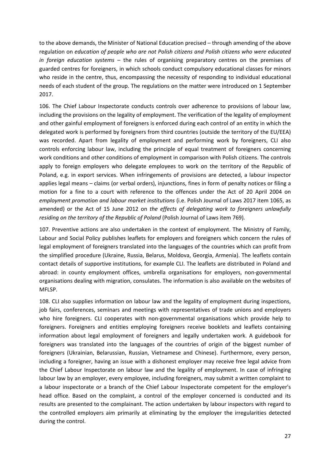to the above demands, the Minister of National Education precised – through amending of the above regulation on *education of people who are not Polish citizens and Polish citizens who were educated in foreign education systems* – the rules of organising preparatory centres on the premises of guarded centres for foreigners, in which schools conduct compulsory educational classes for minors who reside in the centre, thus, encompassing the necessity of responding to individual educational needs of each student of the group. The regulations on the matter were introduced on 1 September 2017.

106. The Chief Labour Inspectorate conducts controls over adherence to provisions of labour law, including the provisions on the legality of employment. The verification of the legality of employment and other gainful employment of foreigners is enforced during each control of an entity in which the delegated work is performed by foreigners from third countries (outside the territory of the EU/EEA) was recorded. Apart from legality of employment and performing work by foreigners, CLI also controls enforcing labour law, including the principle of equal treatment of foreigners concerning work conditions and other conditions of employment in comparison with Polish citizens. The controls apply to foreign employers who delegate employees to work on the territory of the Republic of Poland, e.g. in export services. When infringements of provisions are detected, a labour inspector applies legal means – claims (or verbal orders), injunctions, fines in form of penalty notices or filing a motion for a fine to a court with reference to the offences under the Act of 20 April 2004 on *employment promotion and labour market institutions* (i.e. Polish Journal of Laws 2017 item 1065, as amended) or the Act of 15 June 2012 on *the effects of delegating work to foreigners unlawfully residing on the territory of the Republic of Poland (Polish Journal of Laws item 769).* 

107. Preventive actions are also undertaken in the context of employment. The Ministry of Family, Labour and Social Policy publishes leaflets for employers and foreigners which concern the rules of legal employment of foreigners translated into the languages of the countries which can profit from the simplified procedure (Ukraine, Russia, Belarus, Moldova, Georgia, Armenia). The leaflets contain contact details of supportive institutions, for example CLI. The leaflets are distributed in Poland and abroad: in county employment offices, umbrella organisations for employers, non-governmental organisations dealing with migration, consulates. The information is also available on the websites of MFLSP.

108. CLI also supplies information on labour law and the legality of employment during inspections, job fairs, conferences, seminars and meetings with representatives of trade unions and employers who hire foreigners. CLI cooperates with non-governmental organisations which provide help to foreigners. Foreigners and entities employing foreigners receive booklets and leaflets containing information about legal employment of foreigners and legally undertaken work. A guidebook for foreigners was translated into the languages of the countries of origin of the biggest number of foreigners (Ukrainian, Belarussian, Russian, Vietnamese and Chinese). Furthermore, every person, including a foreigner, having an issue with a dishonest employer may receive free legal advice from the Chief Labour Inspectorate on labour law and the legality of employment. In case of infringing labour law by an employer, every employee, including foreigners, may submit a written complaint to a labour inspectorate or a branch of the Chief Labour Inspectorate competent for the employer's head office. Based on the complaint, a control of the employer concerned is conducted and its results are presented to the complainant. The action undertaken by labour inspectors with regard to the controlled employers aim primarily at eliminating by the employer the irregularities detected during the control.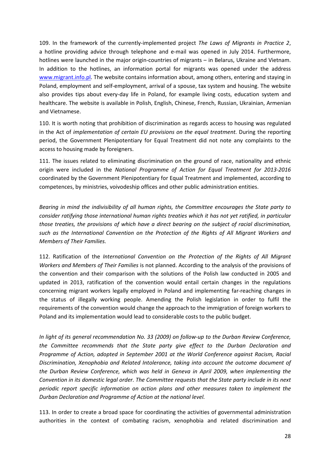109. In the framework of the currently-implemented project *The Laws of Migrants in Practice 2*, a hotline providing advice through telephone and e-mail was opened in July 2014. Furthermore, hotlines were launched in the major origin-countries of migrants – in Belarus, Ukraine and Vietnam. In addition to the hotlines, an information portal for migrants was opened under the address www.migrant.info.pl. The website contains information about, among others, entering and staying in Poland, employment and self-employment, arrival of a spouse, tax system and housing. The website also provides tips about every-day life in Poland, for example living costs, education system and healthcare. The website is available in Polish, English, Chinese, French, Russian, Ukrainian, Armenian and Vietnamese.

110. It is worth noting that prohibition of discrimination as regards access to housing was regulated in the Act of *implementation of certain EU provisions on the equal treatment.* During the reporting period, the Government Plenipotentiary for Equal Treatment did not note any complaints to the access to housing made by foreigners.

111. The issues related to eliminating discrimination on the ground of race, nationality and ethnic origin were included in the *National Programme of Action for Equal Treatment for 2013-2016*  coordinated by the Government Plenipotentiary for Equal Treatment and implemented, according to competences, by ministries, voivodeship offices and other public administration entities.

*Bearing in mind the indivisibility of all human rights, the Committee encourages the State party to consider ratifying those international human rights treaties which it has not yet ratified, in particular those treaties, the provisions of which have a direct bearing on the subject of racial discrimination, such as the International Convention on the Protection of the Rights of All Migrant Workers and Members of Their Families.* 

112. Ratification of the *International Convention on the Protection of the Rights of All Migrant Workers and Members of Their Families* is not planned. According to the analysis of the provisions of the convention and their comparison with the solutions of the Polish law conducted in 2005 and updated in 2013, ratification of the convention would entail certain changes in the regulations concerning migrant workers legally employed in Poland and implementing far-reaching changes in the status of illegally working people. Amending the Polish legislation in order to fulfil the requirements of the convention would change the approach to the immigration of foreign workers to Poland and its implementation would lead to considerable costs to the public budget.

*In light of its general recommendation No. 33 (2009) on follow-up to the Durban Review Conference, the Committee recommends that the State party give effect to the Durban Declaration and Programme of Action, adopted in September 2001 at the World Conference against Racism, Racial Discrimination, Xenophobia and Related Intolerance, taking into account the outcome document of the Durban Review Conference, which was held in Geneva in April 2009, when implementing the Convention in its domestic legal order. The Committee requests that the State party include in its next periodic report specific information on action plans and other measures taken to implement the Durban Declaration and Programme of Action at the national level.* 

113. In order to create a broad space for coordinating the activities of governmental administration authorities in the context of combating racism, xenophobia and related discrimination and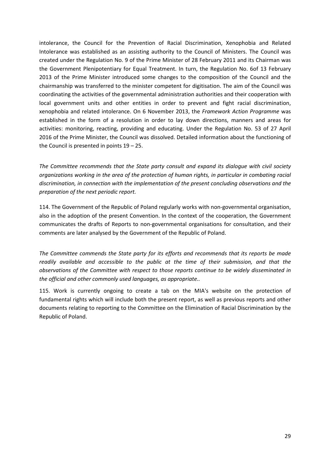intolerance, the Council for the Prevention of Racial Discrimination, Xenophobia and Related Intolerance was established as an assisting authority to the Council of Ministers. The Council was created under the Regulation No. 9 of the Prime Minister of 28 February 2011 and its Chairman was the Government Plenipotentiary for Equal Treatment. In turn, the Regulation No. 6of 13 February 2013 of the Prime Minister introduced some changes to the composition of the Council and the chairmanship was transferred to the minister competent for digitisation. The aim of the Council was coordinating the activities of the governmental administration authorities and their cooperation with local government units and other entities in order to prevent and fight racial discrimination, xenophobia and related intolerance. On 6 November 2013, the *Framework Action Programme* was established in the form of a resolution in order to lay down directions, manners and areas for activities: monitoring, reacting, providing and educating. Under the Regulation No. 53 of 27 April 2016 of the Prime Minister, the Council was dissolved. Detailed information about the functioning of the Council is presented in points 19 – 25.

*The Committee recommends that the State party consult and expand its dialogue with civil society organizations working in the area of the protection of human rights, in particular in combating racial discrimination, in connection with the implementation of the present concluding observations and the preparation of the next periodic report.* 

114. The Government of the Republic of Poland regularly works with non-governmental organisation, also in the adoption of the present Convention. In the context of the cooperation, the Government communicates the drafts of Reports to non-governmental organisations for consultation, and their comments are later analysed by the Government of the Republic of Poland.

*The Committee commends the State party for its efforts and recommends that its reports be made readily available and accessible to the public at the time of their submission, and that the observations of the Committee with respect to those reports continue to be widely disseminated in the official and other commonly used languages, as appropriate..* 

115. Work is currently ongoing to create a tab on the MIA's website on the protection of fundamental rights which will include both the present report, as well as previous reports and other documents relating to reporting to the Committee on the Elimination of Racial Discrimination by the Republic of Poland.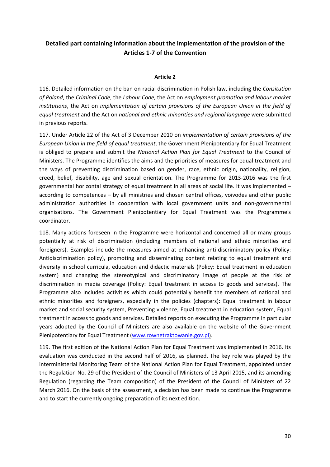# **Detailed part containing information about the implementation of the provision of the Articles 1-7 of the Convention**

### **Article 2**

116. Detailed information on the ban on racial discrimination in Polish law, including the *Consitution of Poland*, the *Criminal Code*, the *Labour Code*, the Act on *employment promotion and labour market institutions*, the Act on *implementation of certain provisions of the European Union in the field of equal treatment* and the Act on *national and ethnic minorities and regional language* were submitted in previous reports.

117. Under Article 22 of the Act of 3 December 2010 on *implementation of certain provisions of the European Union in the field of equal treatment*, the Government Plenipotentiary for Equal Treatment is obliged to prepare and submit the *National Action Plan for Equal Treatment* to the Council of Ministers. The Programme identifies the aims and the priorities of measures for equal treatment and the ways of preventing discrimination based on gender, race, ethnic origin, nationality, religion, creed, belief, disability, age and sexual orientation. The Programme for 2013-2016 was the first governmental horizontal strategy of equal treatment in all areas of social life. It was implemented – according to competences – by all ministries and chosen central offices, voivodes and other public administration authorities in cooperation with local government units and non-governmental organisations. The Government Plenipotentiary for Equal Treatment was the Programme's coordinator.

118. Many actions foreseen in the Programme were horizontal and concerned all or many groups potentially at risk of discrimination (including members of national and ethnic minorities and foreigners). Examples include the measures aimed at enhancing anti-discriminatory policy (Policy: Antidiscrimination policy), promoting and disseminating content relating to equal treatment and diversity in school curricula, education and didactic materials (Policy: Equal treatment in education system) and changing the stereotypical and discriminatory image of people at the risk of discrimination in media coverage (Policy: Equal treatment in access to goods and services). The Programme also included activities which could potentially benefit the members of national and ethnic minorities and foreigners, especially in the policies (chapters): Equal treatment in labour market and social security system, Preventing violence, Equal treatment in education system, Equal treatment in access to goods and services. Detailed reports on executing the Programme in particular years adopted by the Council of Ministers are also available on the website of the Government Plenipotentiary for Equal Treatment (www.rownetraktowanie.gov.pl).

119. The first edition of the National Action Plan for Equal Treatment was implemented in 2016. Its evaluation was conducted in the second half of 2016, as planned. The key role was played by the interministerial Monitoring Team of the National Action Plan for Equal Treatment, appointed under the Regulation No. 29 of the President of the Council of Ministers of 13 April 2015, and its amending Regulation (regarding the Team composition) of the President of the Council of Ministers of 22 March 2016. On the basis of the assessment, a decision has been made to continue the Programme and to start the currently ongoing preparation of its next edition.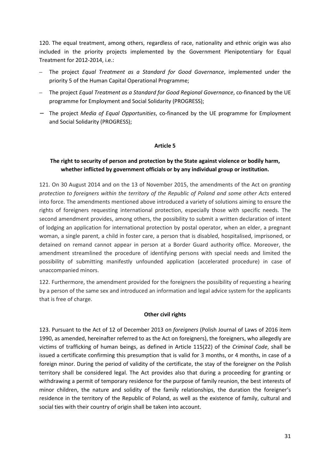120. The equal treatment, among others, regardless of race, nationality and ethnic origin was also included in the priority projects implemented by the Government Plenipotentiary for Equal Treatment for 2012-2014, i.e.:

- The project *Equal Treatment as a Standard for Good Governance*, implemented under the priority 5 of the Human Capital Operational Programme;
- The project *Equal Treatment as a Standard for Good Regional Governance*, co-financed by the UE programme for Employment and Social Solidarity (PROGRESS);
- − The project *Media of Equal Opportunities*, co-financed by the UE programme for Employment and Social Solidarity (PROGRESS);

### **Article 5**

## **The right to security of person and protection by the State against violence or bodily harm, whether inflicted by government officials or by any individual group or institution.**

121. On 30 August 2014 and on the 13 of November 2015, the amendments of the Act on *granting protection to foreigners within the territory of the Republic of Poland and some other Acts* entered into force. The amendments mentioned above introduced a variety of solutions aiming to ensure the rights of foreigners requesting international protection, especially those with specific needs. The second amendment provides, among others, the possibility to submit a written declaration of intent of lodging an application for international protection by postal operator, when an elder, a pregnant woman, a single parent, a child in foster care, a person that is disabled, hospitalised, imprisoned, or detained on remand cannot appear in person at a Border Guard authority office. Moreover, the amendment streamlined the procedure of identifying persons with special needs and limited the possibility of submitting manifestly unfounded application (accelerated procedure) in case of unaccompanied minors.

122. Furthermore, the amendment provided for the foreigners the possibility of requesting a hearing by a person of the same sex and introduced an information and legal advice system for the applicants that is free of charge.

#### **Other civil rights**

123. Pursuant to the Act of 12 of December 2013 on *foreigners* (Polish Journal of Laws of 2016 item 1990, as amended, hereinafter referred to as the Act on foreigners), the foreigners, who allegedly are victims of trafficking of human beings, as defined in Article 115(22) of the *Criminal Code*, shall be issued a certificate confirming this presumption that is valid for 3 months, or 4 months, in case of a foreign minor. During the period of validity of the certificate, the stay of the foreigner on the Polish territory shall be considered legal. The Act provides also that during a proceeding for granting or withdrawing a permit of temporary residence for the purpose of family reunion, the best interests of minor children, the nature and solidity of the family relationships, the duration the foreigner's residence in the territory of the Republic of Poland, as well as the existence of family, cultural and social ties with their country of origin shall be taken into account.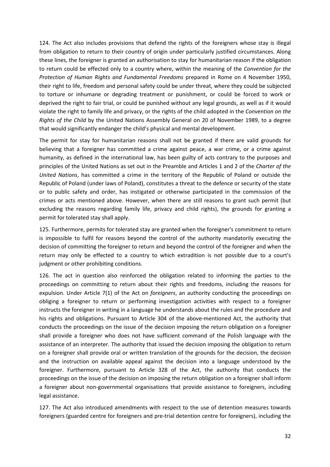124. The Act also includes provisions that defend the rights of the foreigners whose stay is illegal from obligation to return to their country of origin under particularly justified circumstances. Along these lines, the foreigner is granted an authorisation to stay for humanitarian reason if the obligation to return could be effected only to a country where, within the meaning of the *Convention for the Protection of Human Rights and Fundamental Freedoms* prepared in Rome on 4 November 1950, their right to life, freedom and personal safety could be under threat, where they could be subjected to torture or inhumane or degrading treatment or punishment, or could be forced to work or deprived the right to fair trial, or could be punished without any legal grounds, as well as if it would violate the right to family life and privacy, or the rights of the child adopted in the *Convention on the Rights of the Child* by the United Nations Assembly General on 20 of November 1989, to a degree that would significantly endanger the child's physical and mental development.

The permit for stay for humanitarian reasons shall not be granted if there are valid grounds for believing that a foreigner has committed a crime against peace, a war crime, or a crime against humanity, as defined in the international law, has been guilty of acts contrary to the purposes and principles of the United Nations as set out in the Preamble and Articles 1 and 2 of the *Charter of the United Nations*, has committed a crime in the territory of the Republic of Poland or outside the Republic of Poland (under laws of Poland), constitutes a threat to the defence or security of the state or to public safety and order, has instigated or otherwise participated in the commission of the crimes or acts mentioned above. However, when there are still reasons to grant such permit (but excluding the reasons regarding family life, privacy and child rights), the grounds for granting a permit for tolerated stay shall apply.

125. Furthermore, permits for tolerated stay are granted when the foreigner's commitment to return is impossible to fulfil for reasons beyond the control of the authority mandatorily executing the decision of committing the foreigner to return and beyond the control of the foreigner and when the return may only be effected to a country to which extradition is not possible due to a court's judgment or other prohibiting conditions.

126. The act in question also reinforced the obligation related to informing the parties to the proceedings on committing to return about their rights and freedoms, including the reasons for expulsion. Under Article 7(1) of the Act on *foreigners*, an authority conducting the proceedings on obliging a foreigner to return or performing investigation activities with respect to a foreigner instructs the foreigner in writing in a language he understands about the rules and the procedure and his rights and obligations. Pursuant to Article 304 of the above-mentioned Act, the authority that conducts the proceedings on the issue of the decision imposing the return obligation on a foreigner shall provide a foreigner who does not have sufficient command of the Polish language with the assistance of an interpreter. The authority that issued the decision imposing the obligation to return on a foreigner shall provide oral or written translation of the grounds for the decision, the decision and the instruction on available appeal against the decision into a language understood by the foreigner. Furthermore, pursuant to Article 328 of the Act, the authority that conducts the proceedings on the issue of the decision on imposing the return obligation on a foreigner shall inform a foreigner about non-governmental organisations that provide assistance to foreigners, including legal assistance.

127. The Act also introduced amendments with respect to the use of detention measures towards foreigners (guarded centre for foreigners and pre-trial detention centre for foreigners), including the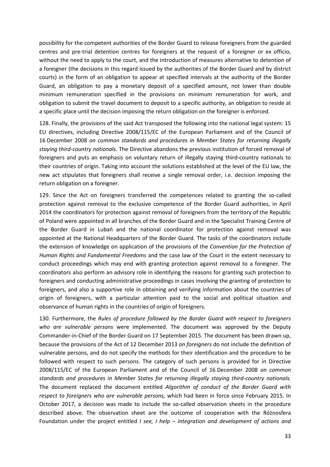possibility for the competent authorities of the Border Guard to release foreigners from the guarded centres and pre-trial detention centres for foreigners at the request of a foreigner or ex officio, without the need to apply to the court, and the introduction of measures alternative to detention of a foreigner (the decisions in this regard issued by the authorities of the Border Guard and by district courts) in the form of an obligation to appear at specified intervals at the authority of the Border Guard, an obligation to pay a monetary deposit of a specified amount, not lower than double minimum remuneration specified in the provisions on minimum remuneration for work, and obligation to submit the travel document to deposit to a specific authority, an obligation to reside at a specific place until the decision imposing the return obligation on the foreigner is enforced.

128. Finally, the provisions of the said Act transposed the following into the national legal system: 15 EU directives, including Directive 2008/115/EC of the European Parliament and of the Council of 16 December 2008 *on common standards and procedures in Member States for returning illegally staying third-country nationals.* The Directive abandons the previous institution of forced removal of foreigners and puts an emphasis on voluntary return of illegally staying third-country nationals to their countries of origin. Taking into account the solutions established at the level of the EU law, the new act stipulates that foreigners shall receive a single removal order, i.e. decision imposing the return obligation on a foreigner.

129. Since the Act on foreigners transferred the competences related to granting the so-called protection against removal to the exclusive competence of the Border Guard authorities, in April 2014 the coordinators for protection against removal of foreigners from the territory of the Republic of Poland were appointed in all branches of the Border Guard and in the Specialist Training Centre of the Border Guard in Lubań and the national coordinator for protection against removal was appointed at the National Headquarters of the Border Guard. The tasks of the coordinators include the extension of knowledge on application of the provisions of the *Convention for the Protection of Human Rights and Fundamental Freedoms* and the case law of the Court in the extent necessary to conduct proceedings which may end with granting protection against removal to a foreigner. The coordinators also perform an advisory role in identifying the reasons for granting such protection to foreigners and conducting administrative proceedings in cases involving the granting of protection to foreigners, and also a supportive role in obtaining and verifying information about the countries of origin of foreigners, with a particular attention paid to the social and political situation and observance of human rights in the countries of origin of foreigners.

130. Furthermore, the *Rules of procedure followed by the Border Guard with respect to foreigners who are vulnerable persons* were implemented. The document was approved by the Deputy Commander-in-Chief of the Border Guard on 17 September 2015. The document has been drawn up, because the provisions of the Act of 12 December 2013 *on foreigners* do not include the definition of vulnerable persons, and do not specify the methods for their identification and the procedure to be followed with respect to such persons. The category of such persons is provided for in Directive 2008/115/EC of the European Parliament and of the Council of 16 December 2008 *on common standards and procedures in Member States for returning illegally staying third-country nationals.* The document replaced the document entitled *Algorithm of conduct of the Border Guard with respect to foreigners who are vulnerable persons,* which had been in force since February 2015. In October 2017, a decision was made to include the so-called observation sheets in the procedure described above. The observation sheet are the outcome of cooperation with the Różnosfera Foundation under the project entitled *I see, I help – integration and development of actions and*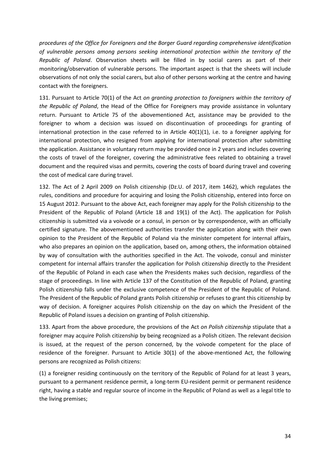*procedures of the Office for Foreigners and the Borger Guard regarding comprehensive identification of vulnerable persons among persons seeking international protection within the territory of the Republic of Poland*. Observation sheets will be filled in by social carers as part of their monitoring/observation of vulnerable persons. The important aspect is that the sheets will include observations of not only the social carers, but also of other persons working at the centre and having contact with the foreigners.

131. Pursuant to Article 70(1) of the Act *on granting protection to foreigners within the territory of the Republic of Poland*, the Head of the Office for Foreigners may provide assistance in voluntary return. Pursuant to Article 75 of the abovementioned Act, assistance may be provided to the foreigner to whom a decision was issued on discontinuation of proceedings for granting of international protection in the case referred to in Article  $40(1)(1)$ , i.e. to a foreigner applying for international protection, who resigned from applying for international protection after submitting the application. Assistance in voluntary return may be provided once in 2 years and includes covering the costs of travel of the foreigner, covering the administrative fees related to obtaining a travel document and the required visas and permits, covering the costs of board during travel and covering the cost of medical care during travel.

132. The Act of 2 April 2009 on Polish citizenship (Dz.U. of 2017, item 1462), which regulates the rules, conditions and procedure for acquiring and losing the Polish citizenship, entered into force on 15 August 2012. Pursuant to the above Act, each foreigner may apply for the Polish citizenship to the President of the Republic of Poland (Article 18 and 19(1) of the Act). The application for Polish citizenship is submitted via a voivode or a consul, in person or by correspondence, with an officially certified signature. The abovementioned authorities transfer the application along with their own opinion to the President of the Republic of Poland via the minister competent for internal affairs, who also prepares an opinion on the application, based on, among others, the information obtained by way of consultation with the authorities specified in the Act. The voivode, consul and minister competent for internal affairs transfer the application for Polish citizenship directly to the President of the Republic of Poland in each case when the Presidents makes such decision, regardless of the stage of proceedings. In line with Article 137 of the Constitution of the Republic of Poland, granting Polish citizenship falls under the exclusive competence of the President of the Republic of Poland. The President of the Republic of Poland grants Polish citizenship or refuses to grant this citizenship by way of decision. A foreigner acquires Polish citizenship on the day on which the President of the Republic of Poland issues a decision on granting of Polish citizenship.

133. Apart from the above procedure, the provisions of the Act *on Polish citizenship* stipulate that a foreigner may acquire Polish citizenship by being recognized as a Polish citizen. The relevant decision is issued, at the request of the person concerned, by the voivode competent for the place of residence of the foreigner. Pursuant to Article 30(1) of the above-mentioned Act, the following persons are recognized as Polish citizens:

(1) a foreigner residing continuously on the territory of the Republic of Poland for at least 3 years, pursuant to a permanent residence permit, a long-term EU-resident permit or permanent residence right, having a stable and regular source of income in the Republic of Poland as well as a legal title to the living premises;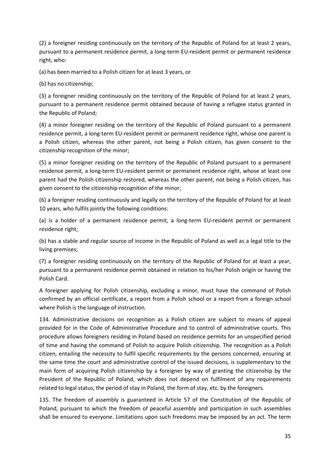(2) a foreigner residing continuously on the territory of the Republic of Poland for at least 2 years, pursuant to a permanent residence permit, a long-term EU-resident permit or permanent residence right, who:

(a) has been married to a Polish citizen for at least 3 years, or

(b) has no citizenship;

(3) a foreigner residing continuously on the territory of the Republic of Poland for at least 2 years, pursuant to a permanent residence permit obtained because of having a refugee status granted in the Republic of Poland;

(4) a minor foreigner residing on the territory of the Republic of Poland pursuant to a permanent residence permit, a long-term EU-resident permit or permanent residence right, whose one parent is a Polish citizen, whereas the other parent, not being a Polish citizen, has given consent to the citizenship recognition of the minor;

(5) a minor foreigner residing on the territory of the Republic of Poland pursuant to a permanent residence permit, a long-term EU-resident permit or permanent residence right, whose at least one parent had the Polish citizenship restored, whereas the other parent, not being a Polish citizen, has given consent to the citizenship recognition of the minor;

(6) a foreigner residing continuously and legally on the territory of the Republic of Poland for at least 10 years, who fulfils jointly the following conditions:

(a) is a holder of a permanent residence permit, a long-term EU-resident permit or permanent residence right;

(b) has a stable and regular source of income in the Republic of Poland as well as a legal title to the living premises;

(7) a foreigner residing continuously on the territory of the Republic of Poland for at least a year, pursuant to a permanent residence permit obtained in relation to his/her Polish origin or having the Polish Card.

A foreigner applying for Polish citizenship, excluding a minor, must have the command of Polish confirmed by an official certificate, a report from a Polish school or a report from a foreign school where Polish is the language of instruction.

134. Administrative decisions on recognition as a Polish citizen are subject to means of appeal provided for in the Code of Administrative Procedure and to control of administrative courts. This procedure allows foreigners residing in Poland based on residence permits for an unspecified period of time and having the command of Polish to acquire Polish citizenship. The recognition as a Polish citizen, entailing the necessity to fulfil specific requirements by the persons concerned, ensuring at the same time the court and administrative control of the issued decisions, is supplementary to the main form of acquiring Polish citizenship by a foreigner by way of granting the citizenship by the President of the Republic of Poland, which does not depend on fulfilment of any requirements related to legal status, the period of stay in Poland, the form of stay, etc. by the foreigners.

135. The freedom of assembly is guaranteed in Article 57 of the Constitution of the Republic of Poland, pursuant to which the freedom of peaceful assembly and participation in such assemblies shall be ensured to everyone. Limitations upon such freedoms may be imposed by an act. The term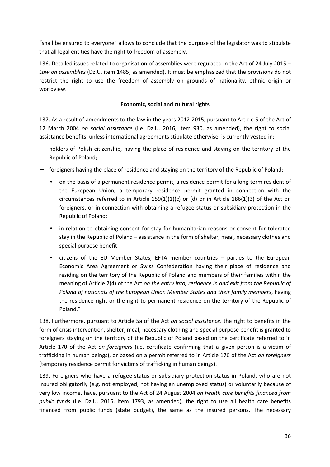"shall be ensured to everyone" allows to conclude that the purpose of the legislator was to stipulate that all legal entities have the right to freedom of assembly.

136. Detailed issues related to organisation of assemblies were regulated in the Act of 24 July 2015 – *Law on assemblies* (Dz.U. item 1485, as amended). It must be emphasized that the provisions do not restrict the right to use the freedom of assembly on grounds of nationality, ethnic origin or worldview.

### **Economic, social and cultural rights**

137. As a result of amendments to the law in the years 2012-2015, pursuant to Article 5 of the Act of 12 March 2004 *on social assistance* (i.e. Dz.U. 2016, item 930, as amended), the right to social assistance benefits, unless international agreements stipulate otherwise, is currently vested in:

- holders of Polish citizenship, having the place of residence and staying on the territory of the Republic of Poland;
- − foreigners having the place of residence and staying on the territory of the Republic of Poland:
	- on the basis of a permanent residence permit, a residence permit for a long-term resident of the European Union, a temporary residence permit granted in connection with the circumstances referred to in Article  $159(1)(1)(c)$  or (d) or in Article  $186(1)(3)$  of the Act on foreigners, or in connection with obtaining a refugee status or subsidiary protection in the Republic of Poland;
	- in relation to obtaining consent for stay for humanitarian reasons or consent for tolerated stay in the Republic of Poland – assistance in the form of shelter, meal, necessary clothes and special purpose benefit;
	- citizens of the EU Member States, EFTA member countries parties to the European Economic Area Agreement or Swiss Confederation having their place of residence and residing on the territory of the Republic of Poland and members of their families within the meaning of Article 2(4) of the Act *on the entry into, residence in and exit from the Republic of Poland of nationals of the European Union Member States and their family members*, having the residence right or the right to permanent residence on the territory of the Republic of Poland."

138. Furthermore, pursuant to Article 5a of the Act *on social assistance,* the right to benefits in the form of crisis intervention, shelter, meal, necessary clothing and special purpose benefit is granted to foreigners staying on the territory of the Republic of Poland based on the certificate referred to in Article 170 of the Act *on foreigners* (i.e. certificate confirming that a given person is a victim of trafficking in human beings), or based on a permit referred to in Article 176 of the Act *on foreigners* (temporary residence permit for victims of trafficking in human beings).

139. Foreigners who have a refugee status or subsidiary protection status in Poland, who are not insured obligatorily (e.g. not employed, not having an unemployed status) or voluntarily because of very low income, have, pursuant to the Act of 24 August 2004 *on health care benefits financed from public funds* (i.e. Dz.U. 2016, item 1793, as amended), the right to use all health care benefits financed from public funds (state budget), the same as the insured persons. The necessary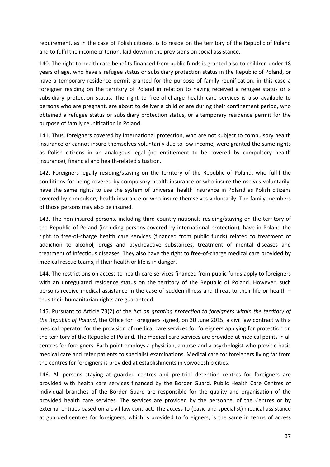requirement, as in the case of Polish citizens, is to reside on the territory of the Republic of Poland and to fulfil the income criterion, laid down in the provisions on social assistance.

140. The right to health care benefits financed from public funds is granted also to children under 18 years of age, who have a refugee status or subsidiary protection status in the Republic of Poland, or have a temporary residence permit granted for the purpose of family reunification, in this case a foreigner residing on the territory of Poland in relation to having received a refugee status or a subsidiary protection status. The right to free-of-charge health care services is also available to persons who are pregnant, are about to deliver a child or are during their confinement period, who obtained a refugee status or subsidiary protection status, or a temporary residence permit for the purpose of family reunification in Poland.

141. Thus, foreigners covered by international protection, who are not subject to compulsory health insurance or cannot insure themselves voluntarily due to low income, were granted the same rights as Polish citizens in an analogous legal (no entitlement to be covered by compulsory health insurance), financial and health-related situation.

142. Foreigners legally residing/staying on the territory of the Republic of Poland, who fulfil the conditions for being covered by compulsory health insurance or who insure themselves voluntarily, have the same rights to use the system of universal health insurance in Poland as Polish citizens covered by compulsory health insurance or who insure themselves voluntarily. The family members of those persons may also be insured.

143. The non-insured persons, including third country nationals residing/staying on the territory of the Republic of Poland (including persons covered by international protection), have in Poland the right to free-of-charge health care services (financed from public funds) related to treatment of addiction to alcohol, drugs and psychoactive substances, treatment of mental diseases and treatment of infectious diseases. They also have the right to free-of-charge medical care provided by medical rescue teams, if their health or life is in danger.

144. The restrictions on access to health care services financed from public funds apply to foreigners with an unregulated residence status on the territory of the Republic of Poland. However, such persons receive medical assistance in the case of sudden illness and threat to their life or health – thus their humanitarian rights are guaranteed.

145. Pursuant to Article 73(2) of the Act *on granting protection to foreigners within the territory of the Republic of Poland*, the Office for Foreigners signed, on 30 June 2015, a civil law contract with a medical operator for the provision of medical care services for foreigners applying for protection on the territory of the Republic of Poland. The medical care services are provided at medical points in all centres for foreigners. Each point employs a physician, a nurse and a psychologist who provide basic medical care and refer patients to specialist examinations. Medical care for foreigners living far from the centres for foreigners is provided at establishments in voivodeship cities.

146. All persons staying at guarded centres and pre-trial detention centres for foreigners are provided with health care services financed by the Border Guard. Public Health Care Centres of individual branches of the Border Guard are responsible for the quality and organisation of the provided health care services. The services are provided by the personnel of the Centres or by external entities based on a civil law contract. The access to (basic and specialist) medical assistance at guarded centres for foreigners, which is provided to foreigners, is the same in terms of access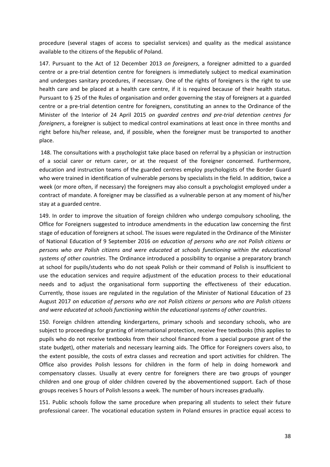procedure (several stages of access to specialist services) and quality as the medical assistance available to the citizens of the Republic of Poland.

147. Pursuant to the Act of 12 December 2013 *on foreigners*, a foreigner admitted to a guarded centre or a pre-trial detention centre for foreigners is immediately subject to medical examination and undergoes sanitary procedures, if necessary. One of the rights of foreigners is the right to use health care and be placed at a health care centre, if it is required because of their health status. Pursuant to § 25 of the Rules of organisation and order governing the stay of foreigners at a guarded centre or a pre-trial detention centre for foreigners, constituting an annex to the Ordinance of the Minister of the Interior of 24 April 2015 *on guarded centres and pre-trial detention centres for foreigners*, a foreigner is subject to medical control examinations at least once in three months and right before his/her release, and, if possible, when the foreigner must be transported to another place.

 148. The consultations with a psychologist take place based on referral by a physician or instruction of a social carer or return carer, or at the request of the foreigner concerned. Furthermore, education and instruction teams of the guarded centres employ psychologists of the Border Guard who were trained in identification of vulnerable persons by specialists in the field. In addition, twice a week (or more often, if necessary) the foreigners may also consult a psychologist employed under a contract of mandate. A foreigner may be classified as a vulnerable person at any moment of his/her stay at a guarded centre.

149. In order to improve the situation of foreign children who undergo compulsory schooling, the Office for Foreigners suggested to introduce amendments in the education law concerning the first stage of education of foreigners at school. The issues were regulated in the Ordinance of the Minister of National Education of 9 September 2016 *on education of persons who are not Polish citizens or persons who are Polish citizens and were educated at schools functioning within the educational systems of other countries*. The Ordinance introduced a possibility to organise a preparatory branch at school for pupils/students who do not speak Polish or their command of Polish is insufficient to use the education services and require adjustment of the education process to their educational needs and to adjust the organisational form supporting the effectiveness of their education. Currently, those issues are regulated in the regulation of the Minister of National Education of 23 August 2017 *on education of persons who are not Polish citizens or persons who are Polish citizens and were educated at schools functioning within the educational systems of other countries*.

150. Foreign children attending kindergartens, primary schools and secondary schools, who are subject to proceedings for granting of international protection, receive free textbooks (this applies to pupils who do not receive textbooks from their school financed from a special purpose grant of the state budget), other materials and necessary learning aids. The Office for Foreigners covers also, to the extent possible, the costs of extra classes and recreation and sport activities for children. The Office also provides Polish lessons for children in the form of help in doing homework and compensatory classes. Usually at every centre for foreigners there are two groups of younger children and one group of older children covered by the abovementioned support. Each of those groups receives 5 hours of Polish lessons a week. The number of hours increases gradually.

151. Public schools follow the same procedure when preparing all students to select their future professional career. The vocational education system in Poland ensures in practice equal access to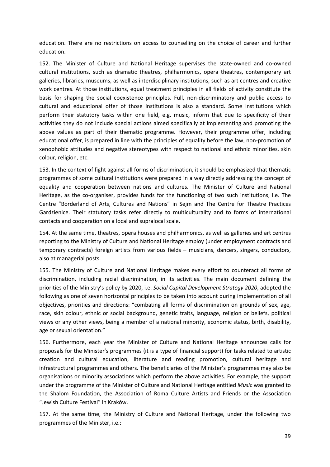education. There are no restrictions on access to counselling on the choice of career and further education.

152. The Minister of Culture and National Heritage supervises the state-owned and co-owned cultural institutions, such as dramatic theatres, philharmonics, opera theatres, contemporary art galleries, libraries, museums, as well as interdisciplinary institutions, such as art centres and creative work centres. At those institutions, equal treatment principles in all fields of activity constitute the basis for shaping the social coexistence principles. Full, non-discriminatory and public access to cultural and educational offer of those institutions is also a standard. Some institutions which perform their statutory tasks within one field, e.g. music, inform that due to specificity of their activities they do not include special actions aimed specifically at implementing and promoting the above values as part of their thematic programme. However, their programme offer, including educational offer, is prepared in line with the principles of equality before the law, non-promotion of xenophobic attitudes and negative stereotypes with respect to national and ethnic minorities, skin colour, religion, etc.

153. In the context of fight against all forms of discrimination, it should be emphasized that thematic programmes of some cultural institutions were prepared in a way directly addressing the concept of equality and cooperation between nations and cultures. The Minister of Culture and National Heritage, as the co-organiser, provides funds for the functioning of two such institutions, i.e. The Centre "Borderland of Arts, Cultures and Nations" in Sejm and The Centre for Theatre Practices Gardzienice. Their statutory tasks refer directly to multiculturality and to forms of international contacts and cooperation on a local and supralocal scale.

154. At the same time, theatres, opera houses and philharmonics, as well as galleries and art centres reporting to the Ministry of Culture and National Heritage employ (under employment contracts and temporary contracts) foreign artists from various fields – musicians, dancers, singers, conductors, also at managerial posts.

155. The Ministry of Culture and National Heritage makes every effort to counteract all forms of discrimination, including racial discrimination, in its activities. The main document defining the priorities of the Ministry's policy by 2020, i.e. *Social Capital Development Strategy 2020*, adopted the following as one of seven horizontal principles to be taken into account during implementation of all objectives, priorities and directions: "combating all forms of discrimination on grounds of sex, age, race, skin colour, ethnic or social background, genetic traits, language, religion or beliefs, political views or any other views, being a member of a national minority, economic status, birth, disability, age or sexual orientation."

156. Furthermore, each year the Minister of Culture and National Heritage announces calls for proposals for the Minister's programmes (it is a type of financial support) for tasks related to artistic creation and cultural education, literature and reading promotion, cultural heritage and infrastructural programmes and others. The beneficiaries of the Minister's programmes may also be organisations or minority associations which perform the above activities. For example, the support under the programme of the Minister of Culture and National Heritage entitled *Music* was granted to the Shalom Foundation, the Association of Roma Culture Artists and Friends or the Association "Jewish Culture Festival" in Kraków.

157. At the same time, the Ministry of Culture and National Heritage, under the following two programmes of the Minister, i.e.: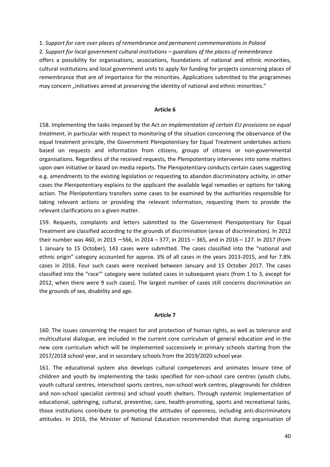1. *Support for care over places of remembrance and permanent commemorations in Poland* 2. *Support for local government cultural institutions – guardians of the places of remembrance* offers a possibility for organisations, associations, foundations of national and ethnic minorities, cultural institutions and local government units to apply for funding for projects concerning places of remembrance that are of importance for the minorities. Applications submitted to the programmes may concern "initiatives aimed at preserving the identity of national and ethnic minorities."

#### **Article 6**

158. Implementing the tasks imposed by the Act *on implementation of certain EU provisions on equal treatment*, in particular with respect to monitoring of the situation concerning the observance of the equal treatment principle, the Government Plenipotentiary for Equal Treatment undertakes actions based on requests and information from citizens, groups of citizens or non-governmental organisations. Regardless of the received requests, the Plenipotentiary intervenes into some matters upon own initiative or based on media reports. The Plenipotentiary conducts certain cases suggesting e.g. amendments to the existing legislation or requesting to abandon discriminatory activity, in other cases the Plenipotentiary explains to the applicant the available legal remedies or options for taking action. The Plenipotentiary transfers some cases to be examined by the authorities responsible for taking relevant actions or providing the relevant information, requesting them to provide the relevant clarifications on a given matter.

159. Requests, complaints and letters submitted to the Government Plenipotentiary for Equal Treatment are classified according to the grounds of discrimination (areas of discrimination). In 2012 their number was 460, in 2013 − 566, in 2014 – 377, in 2015 – 365, and in 2016 – 127. In 2017 (from 1 January to 15 October), 143 cases were submitted. The cases classified into the "national and ethnic origin" category accounted for approx. 3% of all cases in the years 2013-2015, and for 7.8% cases in 2016. Four such cases were received between January and 15 October 2017. The cases classified into the "race'" category were isolated cases in subsequent years (from 1 to 3, except for 2012, when there were 9 such cases). The largest number of cases still concerns discrimination on the grounds of sex, disability and age.

#### **Article 7**

160. The issues concerning the respect for and protection of human rights, as well as tolerance and multicultural dialogue, are included in the current core curriculum of general education and in the new core curriculum which will be implemented successively in primary schools starting from the 2017/2018 school year, and in secondary schools from the 2019/2020 school year.

161. The educational system also develops cultural competences and animates leisure time of children and youth by implementing the tasks specified for non-school care centres (youth clubs, youth cultural centres, interschool sports centres, non-school work centres, playgrounds for children and non-school specialist centres) and school youth shelters. Through systemic implementation of educational, upbringing, cultural, preventive, care, health-promoting, sports and recreational tasks, those institutions contribute to promoting the attitudes of openness, including anti-discriminatory attitudes. In 2016, the Minister of National Education recommended that during organisation of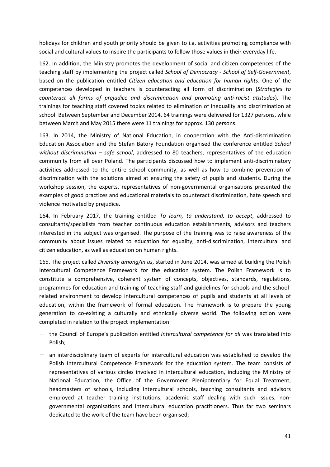holidays for children and youth priority should be given to i.a. activities promoting compliance with social and cultural values to inspire the participants to follow those values in their everyday life.

162. In addition, the Ministry promotes the development of social and citizen competences of the teaching staff by implementing the project called *School of Democracy - School of Self-Government*, based on the publication entitled *Citizen education and education for human rights*. One of the competences developed in teachers is counteracting all form of discrimination (*Strategies to counteract all forms of prejudice and discrimination and promoting anti-racist attitudes*). The trainings for teaching staff covered topics related to elimination of inequality and discrimination at school. Between September and December 2014, 64 trainings were delivered for 1327 persons, while between March and May 2015 there were 11 trainings for approx. 130 persons.

163. In 2014, the Ministry of National Education, in cooperation with the Anti-discrimination Education Association and the Stefan Batory Foundation organised the conference entitled *School without discrimination – safe school*, addressed to 80 teachers, representatives of the education community from all over Poland. The participants discussed how to implement anti-discriminatory activities addressed to the entire school community, as well as how to combine prevention of discrimination with the solutions aimed at ensuring the safety of pupils and students. During the workshop session, the experts, representatives of non-governmental organisations presented the examples of good practices and educational materials to counteract discrimination, hate speech and violence motivated by prejudice.

164. In February 2017, the training entitled *To learn, to understand, to accept*, addressed to consultants/specialists from teacher continuous education establishments, advisors and teachers interested in the subject was organised. The purpose of the training was to raise awareness of the community about issues related to education for equality, anti-discrimination, intercultural and citizen education, as well as education on human rights.

165. The project called *Diversity among/in us*, started in June 2014, was aimed at building the Polish Intercultural Competence Framework for the education system. The Polish Framework is to constitute a comprehensive, coherent system of concepts, objectives, standards, regulations, programmes for education and training of teaching staff and guidelines for schools and the schoolrelated environment to develop intercultural competences of pupils and students at all levels of education, within the framework of formal education. The Framework is to prepare the young generation to co-existing a culturally and ethnically diverse world. The following action were completed in relation to the project implementation:

- − the Council of Europe's publication entitled *Intercultural competence for all* was translated into Polish;
- an interdisciplinary team of experts for intercultural education was established to develop the Polish Intercultural Competence Framework for the education system. The team consists of representatives of various circles involved in intercultural education, including the Ministry of National Education, the Office of the Government Plenipotentiary for Equal Treatment, headmasters of schools, including intercultural schools, teaching consultants and advisors employed at teacher training institutions, academic staff dealing with such issues, nongovernmental organisations and intercultural education practitioners. Thus far two seminars dedicated to the work of the team have been organised;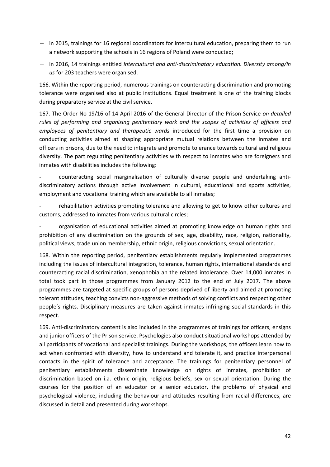- − in 2015, trainings for 16 regional coordinators for intercultural education, preparing them to run a network supporting the schools in 16 regions of Poland were conducted;
- − in 2016, 14 trainings entitled *Intercultural and anti-discriminatory education. Diversity among/in us* for 203 teachers were organised.

166. Within the reporting period, numerous trainings on counteracting discrimination and promoting tolerance were organised also at public institutions. Equal treatment is one of the training blocks during preparatory service at the civil service.

167. The Order No 19/16 of 14 April 2016 of the General Director of the Prison Service *on detailed rules of performing and organising penitentiary work and the scopes of activities of officers and employees of penitentiary and therapeutic wards* introduced for the first time a provision on conducting activities aimed at shaping appropriate mutual relations between the inmates and officers in prisons, due to the need to integrate and promote tolerance towards cultural and religious diversity. The part regulating penitentiary activities with respect to inmates who are foreigners and inmates with disabilities includes the following:

- counteracting social marginalisation of culturally diverse people and undertaking antidiscriminatory actions through active involvement in cultural, educational and sports activities, employment and vocational training which are available to all inmates;

rehabilitation activities promoting tolerance and allowing to get to know other cultures and customs, addressed to inmates from various cultural circles;

organisation of educational activities aimed at promoting knowledge on human rights and prohibition of any discrimination on the grounds of sex, age, disability, race, religion, nationality, political views, trade union membership, ethnic origin, religious convictions, sexual orientation.

168. Within the reporting period, penitentiary establishments regularly implemented programmes including the issues of intercultural integration, tolerance, human rights, international standards and counteracting racial discrimination, xenophobia an the related intolerance. Over 14,000 inmates in total took part in those programmes from January 2012 to the end of July 2017. The above programmes are targeted at specific groups of persons deprived of liberty and aimed at promoting tolerant attitudes, teaching convicts non-aggressive methods of solving conflicts and respecting other people's rights. Disciplinary measures are taken against inmates infringing social standards in this respect.

169. Anti-discriminatory content is also included in the programmes of trainings for officers, ensigns and junior officers of the Prison service. Psychologies also conduct situational workshops attended by all participants of vocational and specialist trainings. During the workshops, the officers learn how to act when confronted with diversity, how to understand and tolerate it, and practice interpersonal contacts in the spirit of tolerance and acceptance. The trainings for penitentiary personnel of penitentiary establishments disseminate knowledge on rights of inmates, prohibition of discrimination based on i.a. ethnic origin, religious beliefs, sex or sexual orientation. During the courses for the position of an educator or a senior educator, the problems of physical and psychological violence, including the behaviour and attitudes resulting from racial differences, are discussed in detail and presented during workshops.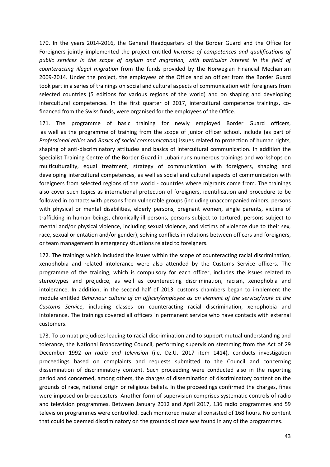170. In the years 2014-2016, the General Headquarters of the Border Guard and the Office for Foreigners jointly implemented the project entitled *Increase of competences and qualifications of public services in the scope of asylum and migration, with particular interest in the field of counteracting illegal migration* from the funds provided by the Norwegian Financial Mechanism 2009-2014. Under the project, the employees of the Office and an officer from the Border Guard took part in a series of trainings on social and cultural aspects of communication with foreigners from selected countries (5 editions for various regions of the world) and on shaping and developing intercultural competences. In the first quarter of 2017, intercultural competence trainings, cofinanced from the Swiss funds, were organised for the employees of the Office.

171. The programme of basic training for newly employed Border Guard officers, as well as the programme of training from the scope of junior officer school, include (as part of *Professional ethics* and *Basics of social communication*) issues related to protection of human rights, shaping of anti-discriminatory attitudes and basics of intercultural communication. In addition the Specialist Training Centre of the Border Guard in Lubań runs numerous trainings and workshops on multiculturality, equal treatment, strategy of communication with foreigners, shaping and developing intercultural competences, as well as social and cultural aspects of communication with foreigners from selected regions of the world - countries where migrants come from. The trainings also cover such topics as international protection of foreigners, identification and procedure to be followed in contacts with persons from vulnerable groups (including unaccompanied minors, persons with physical or mental disabilities, elderly persons, pregnant women, single parents, victims of trafficking in human beings, chronically ill persons, persons subject to tortured, persons subject to mental and/or physical violence, including sexual violence, and victims of violence due to their sex, race, sexual orientation and/or gender), solving conflicts in relations between officers and foreigners, or team management in emergency situations related to foreigners.

172. The trainings which included the issues within the scope of counteracting racial discrimination, xenophobia and related intolerance were also attended by the Customs Service officers. The programme of the training, which is compulsory for each officer, includes the issues related to stereotypes and prejudice, as well as counteracting discrimination, racism, xenophobia and intolerance. In addition, in the second half of 2013, customs chambers began to implement the module entitled *Behaviour culture of an officer/employee as an element of the service/work at the Customs Service*, including classes on counteracting racial discrimination, xenophobia and intolerance. The trainings covered all officers in permanent service who have contacts with external customers.

173. To combat prejudices leading to racial discrimination and to support mutual understanding and tolerance, the National Broadcasting Council, performing supervision stemming from the Act of 29 December 1992 *on radio and television* (i.e. Dz.U. 2017 item 1414), conducts investigation proceedings based on complaints and requests submitted to the Council and concerning dissemination of discriminatory content. Such proceeding were conducted also in the reporting period and concerned, among others, the charges of dissemination of discriminatory content on the grounds of race, national origin or religious beliefs. In the proceedings confirmed the charges, fines were imposed on broadcasters. Another form of supervision comprises systematic controls of radio and television programmes. Between January 2012 and April 2017, 136 radio programmes and 59 television programmes were controlled. Each monitored material consisted of 168 hours. No content that could be deemed discriminatory on the grounds of race was found in any of the programmes.